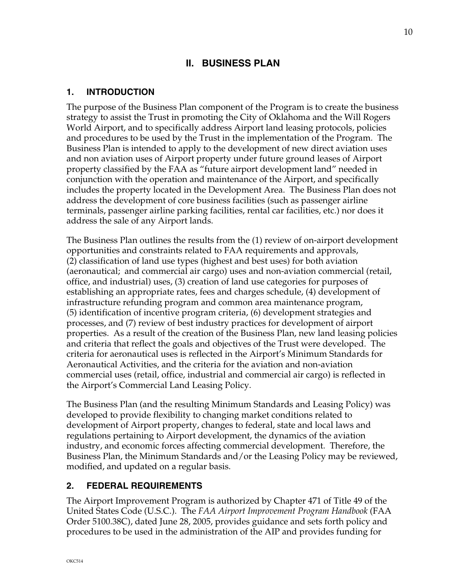# **II. BUSINESS PLAN**

## **1. INTRODUCTION**

The purpose of the Business Plan component of the Program is to create the business strategy to assist the Trust in promoting the City of Oklahoma and the Will Rogers World Airport, and to specifically address Airport land leasing protocols, policies and procedures to be used by the Trust in the implementation of the Program. The Business Plan is intended to apply to the development of new direct aviation uses and non aviation uses of Airport property under future ground leases of Airport property classified by the FAA as "future airport development land" needed in conjunction with the operation and maintenance of the Airport, and specifically includes the property located in the Development Area. The Business Plan does not address the development of core business facilities (such as passenger airline terminals, passenger airline parking facilities, rental car facilities, etc.) nor does it address the sale of any Airport lands.

The Business Plan outlines the results from the (1) review of on-airport development opportunities and constraints related to FAA requirements and approvals, (2) classification of land use types (highest and best uses) for both aviation (aeronautical; and commercial air cargo) uses and non-aviation commercial (retail, office, and industrial) uses, (3) creation of land use categories for purposes of establishing an appropriate rates, fees and charges schedule, (4) development of infrastructure refunding program and common area maintenance program, (5) identification of incentive program criteria, (6) development strategies and processes, and (7) review of best industry practices for development of airport properties. As a result of the creation of the Business Plan, new land leasing policies and criteria that reflect the goals and objectives of the Trust were developed. The criteria for aeronautical uses is reflected in the Airport's Minimum Standards for Aeronautical Activities, and the criteria for the aviation and non-aviation commercial uses (retail, office, industrial and commercial air cargo) is reflected in the Airport's Commercial Land Leasing Policy.

The Business Plan (and the resulting Minimum Standards and Leasing Policy) was developed to provide flexibility to changing market conditions related to development of Airport property, changes to federal, state and local laws and regulations pertaining to Airport development, the dynamics of the aviation industry, and economic forces affecting commercial development. Therefore, the Business Plan, the Minimum Standards and/or the Leasing Policy may be reviewed, modified, and updated on a regular basis.

# **2. FEDERAL REQUIREMENTS**

The Airport Improvement Program is authorized by Chapter 471 of Title 49 of the United States Code (U.S.C.). The *FAA Airport Improvement Program Handbook* (FAA Order 5100.38C), dated June 28, 2005, provides guidance and sets forth policy and procedures to be used in the administration of the AIP and provides funding for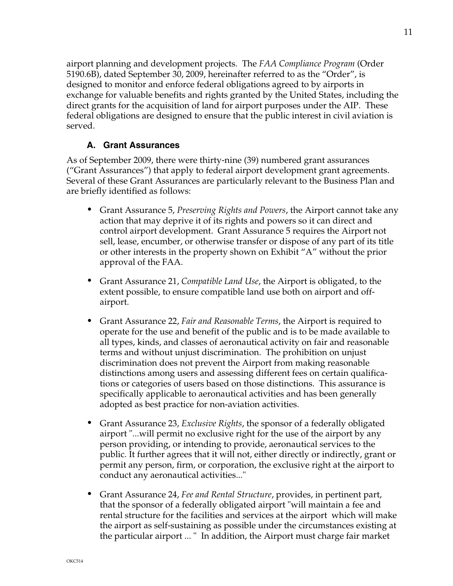airport planning and development projects. The *FAA Compliance Program* (Order 5190.6B), dated September 30, 2009, hereinafter referred to as the "Order", is designed to monitor and enforce federal obligations agreed to by airports in exchange for valuable benefits and rights granted by the United States, including the direct grants for the acquisition of land for airport purposes under the AIP. These federal obligations are designed to ensure that the public interest in civil aviation is served.

## **A. Grant Assurances**

As of September 2009, there were thirty-nine (39) numbered grant assurances ("Grant Assurances") that apply to federal airport development grant agreements. Several of these Grant Assurances are particularly relevant to the Business Plan and are briefly identified as follows:

- *•* Grant Assurance 5, *Preserving Rights and Powers*, the Airport cannot take any action that may deprive it of its rights and powers so it can direct and control airport development. Grant Assurance 5 requires the Airport not sell, lease, encumber, or otherwise transfer or dispose of any part of its title or other interests in the property shown on Exhibit "A" without the prior approval of the FAA.
- *•* Grant Assurance 21, *Compatible Land Use*, the Airport is obligated, to the extent possible, to ensure compatible land use both on airport and offairport.
- *•* Grant Assurance 22, *Fair and Reasonable Terms*, the Airport is required to operate for the use and benefit of the public and is to be made available to all types, kinds, and classes of aeronautical activity on fair and reasonable terms and without unjust discrimination. The prohibition on unjust discrimination does not prevent the Airport from making reasonable distinctions among users and assessing different fees on certain qualifications or categories of users based on those distinctions.This assurance is specifically applicable to aeronautical activities and has been generally adopted as best practice for non-aviation activities.
- *•* Grant Assurance 23, *Exclusive Rights*, the sponsor of a federally obligated airport "...will permit no exclusive right for the use of the airport by any person providing, or intending to provide, aeronautical services to the public. It further agrees that it will not, either directly or indirectly, grant or permit any person, firm, or corporation, the exclusive right at the airport to conduct any aeronautical activities..."
- *•* Grant Assurance 24, *Fee and Rental Structure*, provides, in pertinent part, that the sponsor of a federally obligated airport "will maintain a fee and rental structure for the facilities and services at the airport which will make the airport as self-sustaining as possible under the circumstances existing at the particular airport ... " In addition, the Airport must charge fair market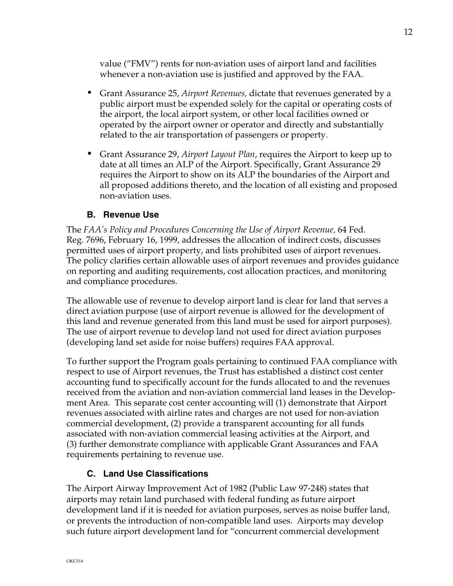value ("FMV") rents for non-aviation uses of airport land and facilities whenever a non-aviation use is justified and approved by the FAA.

- *•* Grant Assurance 25, *Airport Revenues,* dictate that revenues generated by a public airport must be expended solely for the capital or operating costs of the airport, the local airport system, or other local facilities owned or operated by the airport owner or operator and directly and substantially related to the air transportation of passengers or property.
- *•* Grant Assurance 29, *Airport Layout Plan*, requires the Airport to keep up to date at all times an ALP of the Airport. Specifically, Grant Assurance 29 requires the Airport to show on its ALP the boundaries of the Airport and all proposed additions thereto, and the location of all existing and proposed non-aviation uses.

#### **B. Revenue Use**

The *FAA's Policy and Procedures Concerning the Use of Airport Revenue,* 64 Fed. Reg. 7696, February 16, 1999, addresses the allocation of indirect costs, discusses permitted uses of airport property, and lists prohibited uses of airport revenues. The policy clarifies certain allowable uses of airport revenues and provides guidance on reporting and auditing requirements, cost allocation practices, and monitoring and compliance procedures.

The allowable use of revenue to develop airport land is clear for land that serves a direct aviation purpose (use of airport revenue is allowed for the development of this land and revenue generated from this land must be used for airport purposes). The use of airport revenue to develop land not used for direct aviation purposes (developing land set aside for noise buffers) requires FAA approval.

To further support the Program goals pertaining to continued FAA compliance with respect to use of Airport revenues, the Trust has established a distinct cost center accounting fund to specifically account for the funds allocated to and the revenues received from the aviation and non-aviation commercial land leases in the Development Area. This separate cost center accounting will (1) demonstrate that Airport revenues associated with airline rates and charges are not used for non-aviation commercial development, (2) provide a transparent accounting for all funds associated with non-aviation commercial leasing activities at the Airport, and (3) further demonstrate compliance with applicable Grant Assurances and FAA requirements pertaining to revenue use.

## **C. Land Use Classifications**

The Airport Airway Improvement Act of 1982 (Public Law 97-248) states that airports may retain land purchased with federal funding as future airport development land if it is needed for aviation purposes, serves as noise buffer land, or prevents the introduction of non-compatible land uses. Airports may develop such future airport development land for "concurrent commercial development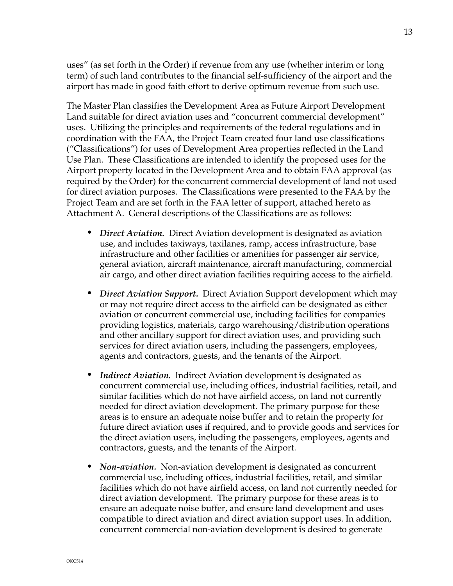uses" (as set forth in the Order) if revenue from any use (whether interim or long term) of such land contributes to the financial self-sufficiency of the airport and the airport has made in good faith effort to derive optimum revenue from such use.

The Master Plan classifies the Development Area as Future Airport Development Land suitable for direct aviation uses and "concurrent commercial development" uses. Utilizing the principles and requirements of the federal regulations and in coordination with the FAA, the Project Team created four land use classifications ("Classifications") for uses of Development Area properties reflected in the Land Use Plan. These Classifications are intended to identify the proposed uses for the Airport property located in the Development Area and to obtain FAA approval (as required by the Order) for the concurrent commercial development of land not used for direct aviation purposes. The Classifications were presented to the FAA by the Project Team and are set forth in the FAA letter of support, attached hereto as Attachment A. General descriptions of the Classifications are as follows:

- *• Direct Aviation.* Direct Aviation development is designated as aviation use, and includes taxiways, taxilanes, ramp, access infrastructure, base infrastructure and other facilities or amenities for passenger air service, general aviation, aircraft maintenance, aircraft manufacturing, commercial air cargo, and other direct aviation facilities requiring access to the airfield.
- *• Direct Aviation Support.* Direct Aviation Support development which may or may not require direct access to the airfield can be designated as either aviation or concurrent commercial use, including facilities for companies providing logistics, materials, cargo warehousing/distribution operations and other ancillary support for direct aviation uses, and providing such services for direct aviation users, including the passengers, employees, agents and contractors, guests, and the tenants of the Airport.
- *• Indirect Aviation.* Indirect Aviation development is designated as concurrent commercial use, including offices, industrial facilities, retail, and similar facilities which do not have airfield access, on land not currently needed for direct aviation development. The primary purpose for these areas is to ensure an adequate noise buffer and to retain the property for future direct aviation uses if required, and to provide goods and services for the direct aviation users, including the passengers, employees, agents and contractors, guests, and the tenants of the Airport.
- *• Non-aviation.* Non-aviation development is designated as concurrent commercial use, including offices, industrial facilities, retail, and similar facilities which do not have airfield access, on land not currently needed for direct aviation development. The primary purpose for these areas is to ensure an adequate noise buffer, and ensure land development and uses compatible to direct aviation and direct aviation support uses. In addition, concurrent commercial non-aviation development is desired to generate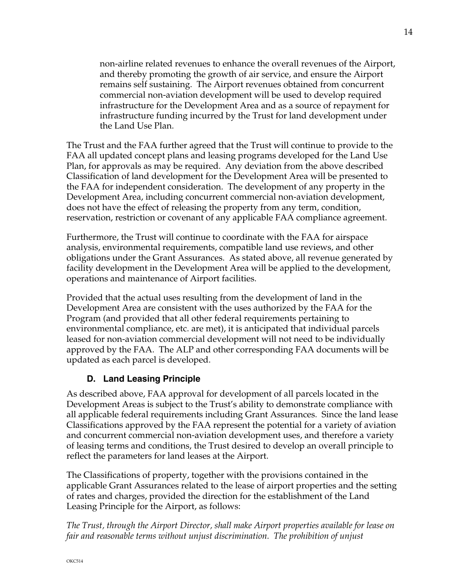non-airline related revenues to enhance the overall revenues of the Airport, and thereby promoting the growth of air service, and ensure the Airport remains self sustaining. The Airport revenues obtained from concurrent commercial non-aviation development will be used to develop required infrastructure for the Development Area and as a source of repayment for infrastructure funding incurred by the Trust for land development under the Land Use Plan.

The Trust and the FAA further agreed that the Trust will continue to provide to the FAA all updated concept plans and leasing programs developed for the Land Use Plan, for approvals as may be required. Any deviation from the above described Classification of land development for the Development Area will be presented to the FAA for independent consideration. The development of any property in the Development Area, including concurrent commercial non-aviation development, does not have the effect of releasing the property from any term, condition, reservation, restriction or covenant of any applicable FAA compliance agreement.

Furthermore, the Trust will continue to coordinate with the FAA for airspace analysis, environmental requirements, compatible land use reviews, and other obligations under the Grant Assurances. As stated above, all revenue generated by facility development in the Development Area will be applied to the development, operations and maintenance of Airport facilities.

Provided that the actual uses resulting from the development of land in the Development Area are consistent with the uses authorized by the FAA for the Program (and provided that all other federal requirements pertaining to environmental compliance, etc. are met), it is anticipated that individual parcels leased for non-aviation commercial development will not need to be individually approved by the FAA. The ALP and other corresponding FAA documents will be updated as each parcel is developed.

# **D. Land Leasing Principle**

As described above, FAA approval for development of all parcels located in the Development Areas is subject to the Trust's ability to demonstrate compliance with all applicable federal requirements including Grant Assurances. Since the land lease Classifications approved by the FAA represent the potential for a variety of aviation and concurrent commercial non-aviation development uses, and therefore a variety of leasing terms and conditions, the Trust desired to develop an overall principle to reflect the parameters for land leases at the Airport.

The Classifications of property, together with the provisions contained in the applicable Grant Assurances related to the lease of airport properties and the setting of rates and charges, provided the direction for the establishment of the Land Leasing Principle for the Airport, as follows:

## *The Trust, through the Airport Director, shall make Airport properties available for lease on fair and reasonable terms without unjust discrimination. The prohibition of unjust*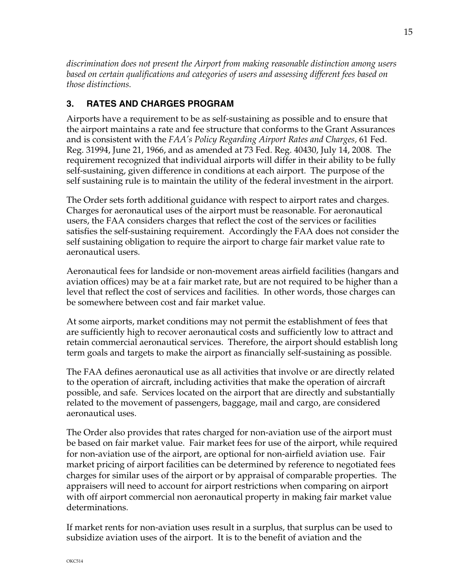*discrimination does not present the Airport from making reasonable distinction among users based on certain qualifications and categories of users and assessing different fees based on those distinctions.* 

# **3. RATES AND CHARGES PROGRAM**

Airports have a requirement to be as self-sustaining as possible and to ensure that the airport maintains a rate and fee structure that conforms to the Grant Assurances and is consistent with the *FAA's Policy Regarding Airport Rates and Charges,* 61 Fed. Reg. 31994, June 21, 1966, and as amended at 73 Fed. Reg. 40430, July 14, 2008. The requirement recognized that individual airports will differ in their ability to be fully self-sustaining, given difference in conditions at each airport. The purpose of the self sustaining rule is to maintain the utility of the federal investment in the airport.

The Order sets forth additional guidance with respect to airport rates and charges. Charges for aeronautical uses of the airport must be reasonable. For aeronautical users, the FAA considers charges that reflect the cost of the services or facilities satisfies the self-sustaining requirement. Accordingly the FAA does not consider the self sustaining obligation to require the airport to charge fair market value rate to aeronautical users.

Aeronautical fees for landside or non-movement areas airfield facilities (hangars and aviation offices) may be at a fair market rate, but are not required to be higher than a level that reflect the cost of services and facilities. In other words, those charges can be somewhere between cost and fair market value.

At some airports, market conditions may not permit the establishment of fees that are sufficiently high to recover aeronautical costs and sufficiently low to attract and retain commercial aeronautical services. Therefore, the airport should establish long term goals and targets to make the airport as financially self-sustaining as possible.

The FAA defines aeronautical use as all activities that involve or are directly related to the operation of aircraft, including activities that make the operation of aircraft possible, and safe. Services located on the airport that are directly and substantially related to the movement of passengers, baggage, mail and cargo, are considered aeronautical uses.

The Order also provides that rates charged for non-aviation use of the airport must be based on fair market value. Fair market fees for use of the airport, while required for non-aviation use of the airport, are optional for non-airfield aviation use. Fair market pricing of airport facilities can be determined by reference to negotiated fees charges for similar uses of the airport or by appraisal of comparable properties. The appraisers will need to account for airport restrictions when comparing on airport with off airport commercial non aeronautical property in making fair market value determinations.

If market rents for non-aviation uses result in a surplus, that surplus can be used to subsidize aviation uses of the airport. It is to the benefit of aviation and the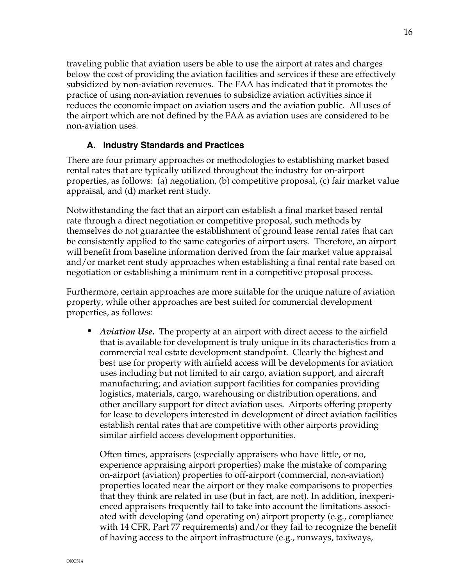traveling public that aviation users be able to use the airport at rates and charges below the cost of providing the aviation facilities and services if these are effectively subsidized by non-aviation revenues. The FAA has indicated that it promotes the practice of using non-aviation revenues to subsidize aviation activities since it reduces the economic impact on aviation users and the aviation public. All uses of the airport which are not defined by the FAA as aviation uses are considered to be non-aviation uses.

## **A. Industry Standards and Practices**

There are four primary approaches or methodologies to establishing market based rental rates that are typically utilized throughout the industry for on-airport properties, as follows: (a) negotiation, (b) competitive proposal, (c) fair market value appraisal, and (d) market rent study.

Notwithstanding the fact that an airport can establish a final market based rental rate through a direct negotiation or competitive proposal, such methods by themselves do not guarantee the establishment of ground lease rental rates that can be consistently applied to the same categories of airport users. Therefore, an airport will benefit from baseline information derived from the fair market value appraisal and/or market rent study approaches when establishing a final rental rate based on negotiation or establishing a minimum rent in a competitive proposal process.

Furthermore, certain approaches are more suitable for the unique nature of aviation property, while other approaches are best suited for commercial development properties, as follows:

*• Aviation Use.* The property at an airport with direct access to the airfield that is available for development is truly unique in its characteristics from a commercial real estate development standpoint. Clearly the highest and best use for property with airfield access will be developments for aviation uses including but not limited to air cargo, aviation support, and aircraft manufacturing; and aviation support facilities for companies providing logistics, materials, cargo, warehousing or distribution operations, and other ancillary support for direct aviation uses. Airports offering property for lease to developers interested in development of direct aviation facilities establish rental rates that are competitive with other airports providing similar airfield access development opportunities.

Often times, appraisers (especially appraisers who have little, or no, experience appraising airport properties) make the mistake of comparing on-airport (aviation) properties to off-airport (commercial, non-aviation) properties located near the airport or they make comparisons to properties that they think are related in use (but in fact, are not). In addition, inexperienced appraisers frequently fail to take into account the limitations associated with developing (and operating on) airport property (e.g., compliance with 14 CFR, Part 77 requirements) and/or they fail to recognize the benefit of having access to the airport infrastructure (e.g., runways, taxiways,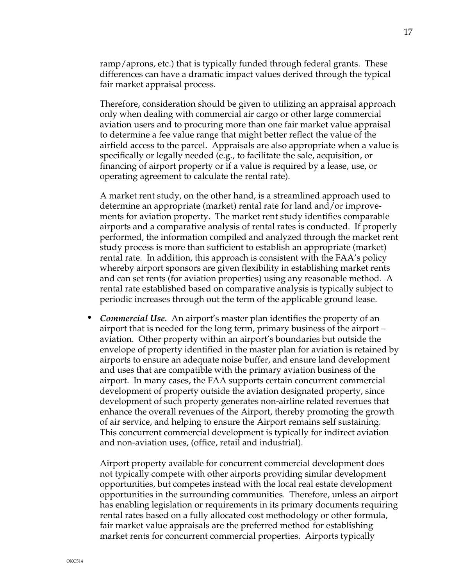ramp/aprons, etc.) that is typically funded through federal grants. These differences can have a dramatic impact values derived through the typical fair market appraisal process.

Therefore, consideration should be given to utilizing an appraisal approach only when dealing with commercial air cargo or other large commercial aviation users and to procuring more than one fair market value appraisal to determine a fee value range that might better reflect the value of the airfield access to the parcel. Appraisals are also appropriate when a value is specifically or legally needed (e.g., to facilitate the sale, acquisition, or financing of airport property or if a value is required by a lease, use, or operating agreement to calculate the rental rate).

A market rent study, on the other hand, is a streamlined approach used to determine an appropriate (market) rental rate for land and/or improvements for aviation property. The market rent study identifies comparable airports and a comparative analysis of rental rates is conducted. If properly performed, the information compiled and analyzed through the market rent study process is more than sufficient to establish an appropriate (market) rental rate. In addition, this approach is consistent with the FAA's policy whereby airport sponsors are given flexibility in establishing market rents and can set rents (for aviation properties) using any reasonable method. A rental rate established based on comparative analysis is typically subject to periodic increases through out the term of the applicable ground lease.

*• Commercial Use.* An airport's master plan identifies the property of an airport that is needed for the long term, primary business of the airport – aviation. Other property within an airport's boundaries but outside the envelope of property identified in the master plan for aviation is retained by airports to ensure an adequate noise buffer, and ensure land development and uses that are compatible with the primary aviation business of the airport. In many cases, the FAA supports certain concurrent commercial development of property outside the aviation designated property, since development of such property generates non-airline related revenues that enhance the overall revenues of the Airport, thereby promoting the growth of air service, and helping to ensure the Airport remains self sustaining. This concurrent commercial development is typically for indirect aviation and non-aviation uses, (office, retail and industrial).

Airport property available for concurrent commercial development does not typically compete with other airports providing similar development opportunities, but competes instead with the local real estate development opportunities in the surrounding communities. Therefore, unless an airport has enabling legislation or requirements in its primary documents requiring rental rates based on a fully allocated cost methodology or other formula, fair market value appraisals are the preferred method for establishing market rents for concurrent commercial properties. Airports typically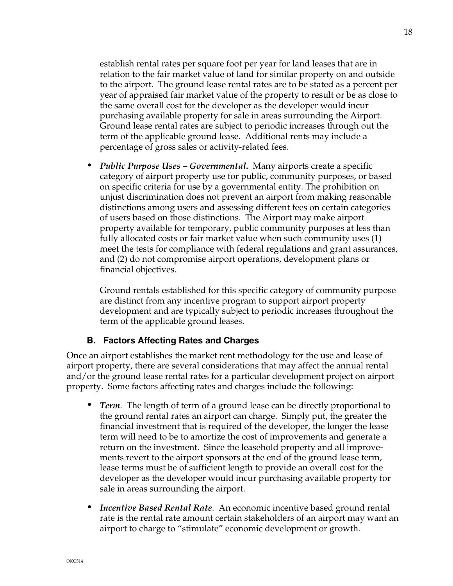establish rental rates per square foot per year for land leases that are in relation to the fair market value of land for similar property on and outside to the airport. The ground lease rental rates are to be stated as a percent per year of appraised fair market value of the property to result or be as close to the same overall cost for the developer as the developer would incur purchasing available property for sale in areas surrounding the Airport. Ground lease rental rates are subject to periodic increases through out the term of the applicable ground lease. Additional rents may include a percentage of gross sales or activity-related fees.

*• Public Purpose Uses – Governmental***.** Many airports create a specific category of airport property use for public, community purposes, or based on specific criteria for use by a governmental entity. The prohibition on unjust discrimination does not prevent an airport from making reasonable distinctions among users and assessing different fees on certain categories of users based on those distinctions. The Airport may make airport property available for temporary, public community purposes at less than fully allocated costs or fair market value when such community uses (1) meet the tests for compliance with federal regulations and grant assurances, and (2) do not compromise airport operations, development plans or financial objectives.

Ground rentals established for this specific category of community purpose are distinct from any incentive program to support airport property development and are typically subject to periodic increases throughout the term of the applicable ground leases.

#### **B. Factors Affecting Rates and Charges**

Once an airport establishes the market rent methodology for the use and lease of airport property, there are several considerations that may affect the annual rental and/or the ground lease rental rates for a particular development project on airport property. Some factors affecting rates and charges include the following:

- *• Term*. The length of term of a ground lease can be directly proportional to the ground rental rates an airport can charge. Simply put, the greater the financial investment that is required of the developer, the longer the lease term will need to be to amortize the cost of improvements and generate a return on the investment. Since the leasehold property and all improvements revert to the airport sponsors at the end of the ground lease term, lease terms must be of sufficient length to provide an overall cost for the developer as the developer would incur purchasing available property for sale in areas surrounding the airport.
- *• Incentive Based Rental Rate*. An economic incentive based ground rental rate is the rental rate amount certain stakeholders of an airport may want an airport to charge to "stimulate" economic development or growth.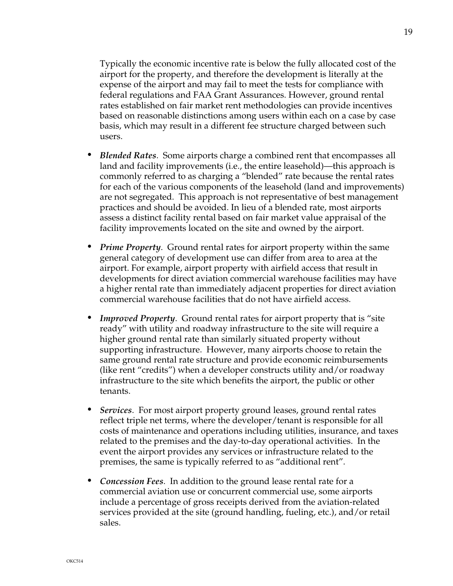Typically the economic incentive rate is below the fully allocated cost of the airport for the property, and therefore the development is literally at the expense of the airport and may fail to meet the tests for compliance with federal regulations and FAA Grant Assurances. However, ground rental rates established on fair market rent methodologies can provide incentives based on reasonable distinctions among users within each on a case by case basis, which may result in a different fee structure charged between such users.

- *• Blended Rates*. Some airports charge a combined rent that encompasses all land and facility improvements (i.e., the entire leasehold)—this approach is commonly referred to as charging a "blended" rate because the rental rates for each of the various components of the leasehold (land and improvements) are not segregated. This approach is not representative of best management practices and should be avoided. In lieu of a blended rate, most airports assess a distinct facility rental based on fair market value appraisal of the facility improvements located on the site and owned by the airport.
- *Prime Property.* Ground rental rates for airport property within the same general category of development use can differ from area to area at the airport. For example, airport property with airfield access that result in developments for direct aviation commercial warehouse facilities may have a higher rental rate than immediately adjacent properties for direct aviation commercial warehouse facilities that do not have airfield access.
- *Improved Property.* Ground rental rates for airport property that is "site" ready" with utility and roadway infrastructure to the site will require a higher ground rental rate than similarly situated property without supporting infrastructure. However, many airports choose to retain the same ground rental rate structure and provide economic reimbursements (like rent "credits") when a developer constructs utility and/or roadway infrastructure to the site which benefits the airport, the public or other tenants.
- *• Services*. For most airport property ground leases, ground rental rates reflect triple net terms, where the developer/tenant is responsible for all costs of maintenance and operations including utilities, insurance, and taxes related to the premises and the day-to-day operational activities. In the event the airport provides any services or infrastructure related to the premises, the same is typically referred to as "additional rent".
- *• Concession Fees*. In addition to the ground lease rental rate for a commercial aviation use or concurrent commercial use, some airports include a percentage of gross receipts derived from the aviation-related services provided at the site (ground handling, fueling, etc.), and/or retail sales.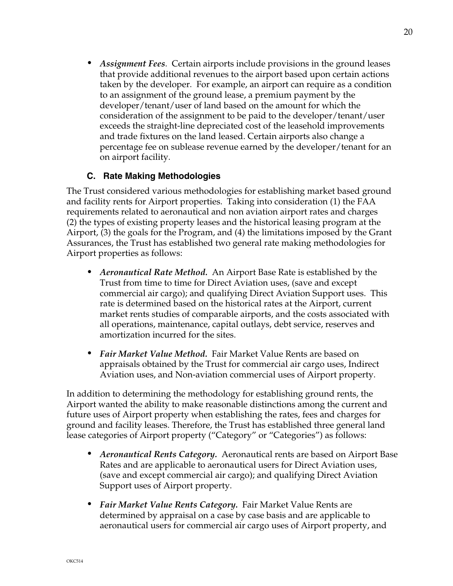*• Assignment Fees*. Certain airports include provisions in the ground leases that provide additional revenues to the airport based upon certain actions taken by the developer. For example, an airport can require as a condition to an assignment of the ground lease, a premium payment by the developer/tenant/user of land based on the amount for which the consideration of the assignment to be paid to the developer/tenant/user exceeds the straight-line depreciated cost of the leasehold improvements and trade fixtures on the land leased. Certain airports also change a percentage fee on sublease revenue earned by the developer/tenant for an on airport facility.

## **C. Rate Making Methodologies**

The Trust considered various methodologies for establishing market based ground and facility rents for Airport properties. Taking into consideration (1) the FAA requirements related to aeronautical and non aviation airport rates and charges (2) the types of existing property leases and the historical leasing program at the Airport, (3) the goals for the Program, and (4) the limitations imposed by the Grant Assurances, the Trust has established two general rate making methodologies for Airport properties as follows:

- *• Aeronautical Rate Method.* An Airport Base Rate is established by the Trust from time to time for Direct Aviation uses, (save and except commercial air cargo); and qualifying Direct Aviation Support uses. This rate is determined based on the historical rates at the Airport, current market rents studies of comparable airports, and the costs associated with all operations, maintenance, capital outlays, debt service, reserves and amortization incurred for the sites.
- *• Fair Market Value Method.* Fair Market Value Rents are based on appraisals obtained by the Trust for commercial air cargo uses, Indirect Aviation uses, and Non-aviation commercial uses of Airport property.

In addition to determining the methodology for establishing ground rents, the Airport wanted the ability to make reasonable distinctions among the current and future uses of Airport property when establishing the rates, fees and charges for ground and facility leases. Therefore, the Trust has established three general land lease categories of Airport property ("Category" or "Categories") as follows:

- *• Aeronautical Rents Category.* Aeronautical rents are based on Airport Base Rates and are applicable to aeronautical users for Direct Aviation uses, (save and except commercial air cargo); and qualifying Direct Aviation Support uses of Airport property.
- *• Fair Market Value Rents Category.* Fair Market Value Rents are determined by appraisal on a case by case basis and are applicable to aeronautical users for commercial air cargo uses of Airport property, and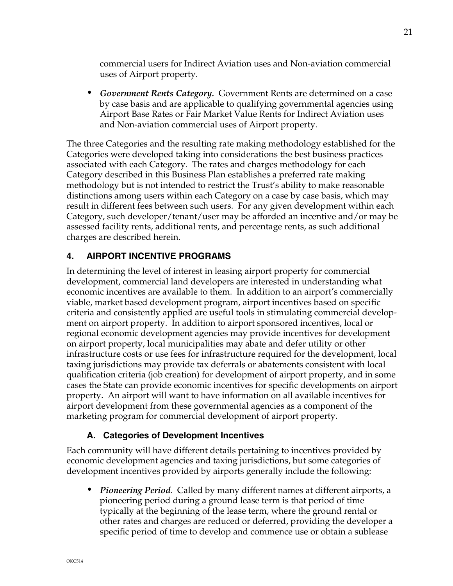commercial users for Indirect Aviation uses and Non-aviation commercial uses of Airport property.

*• Government Rents Category.* Government Rents are determined on a case by case basis and are applicable to qualifying governmental agencies using Airport Base Rates or Fair Market Value Rents for Indirect Aviation uses and Non-aviation commercial uses of Airport property.

The three Categories and the resulting rate making methodology established for the Categories were developed taking into considerations the best business practices associated with each Category. The rates and charges methodology for each Category described in this Business Plan establishes a preferred rate making methodology but is not intended to restrict the Trust's ability to make reasonable distinctions among users within each Category on a case by case basis, which may result in different fees between such users. For any given development within each Category, such developer/tenant/user may be afforded an incentive and/or may be assessed facility rents, additional rents, and percentage rents, as such additional charges are described herein.

## **4. AIRPORT INCENTIVE PROGRAMS**

In determining the level of interest in leasing airport property for commercial development, commercial land developers are interested in understanding what economic incentives are available to them. In addition to an airport's commercially viable, market based development program, airport incentives based on specific criteria and consistently applied are useful tools in stimulating commercial development on airport property. In addition to airport sponsored incentives, local or regional economic development agencies may provide incentives for development on airport property, local municipalities may abate and defer utility or other infrastructure costs or use fees for infrastructure required for the development, local taxing jurisdictions may provide tax deferrals or abatements consistent with local qualification criteria (job creation) for development of airport property, and in some cases the State can provide economic incentives for specific developments on airport property. An airport will want to have information on all available incentives for airport development from these governmental agencies as a component of the marketing program for commercial development of airport property.

## **A. Categories of Development Incentives**

Each community will have different details pertaining to incentives provided by economic development agencies and taxing jurisdictions, but some categories of development incentives provided by airports generally include the following:

*• Pioneering Period*. Called by many different names at different airports, a pioneering period during a ground lease term is that period of time typically at the beginning of the lease term, where the ground rental or other rates and charges are reduced or deferred, providing the developer a specific period of time to develop and commence use or obtain a sublease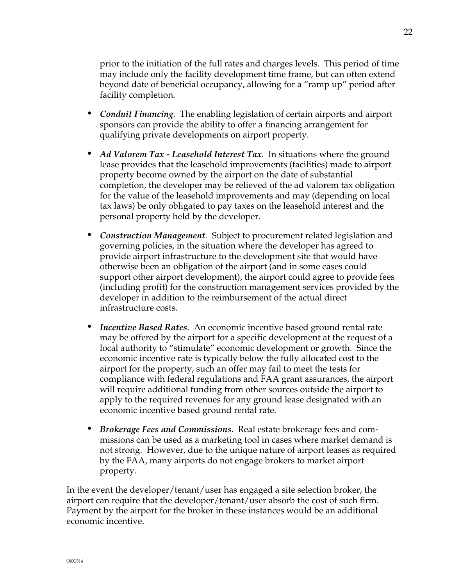prior to the initiation of the full rates and charges levels. This period of time may include only the facility development time frame, but can often extend beyond date of beneficial occupancy, allowing for a "ramp up" period after facility completion.

- *• Conduit Financing*. The enabling legislation of certain airports and airport sponsors can provide the ability to offer a financing arrangement for qualifying private developments on airport property.
- *• Ad Valorem Tax Leasehold Interest Tax*. In situations where the ground lease provides that the leasehold improvements (facilities) made to airport property become owned by the airport on the date of substantial completion, the developer may be relieved of the ad valorem tax obligation for the value of the leasehold improvements and may (depending on local tax laws) be only obligated to pay taxes on the leasehold interest and the personal property held by the developer.
- *• Construction Management*. Subject to procurement related legislation and governing policies, in the situation where the developer has agreed to provide airport infrastructure to the development site that would have otherwise been an obligation of the airport (and in some cases could support other airport development), the airport could agree to provide fees (including profit) for the construction management services provided by the developer in addition to the reimbursement of the actual direct infrastructure costs.
- *• Incentive Based Rates*. An economic incentive based ground rental rate may be offered by the airport for a specific development at the request of a local authority to "stimulate" economic development or growth. Since the economic incentive rate is typically below the fully allocated cost to the airport for the property, such an offer may fail to meet the tests for compliance with federal regulations and FAA grant assurances, the airport will require additional funding from other sources outside the airport to apply to the required revenues for any ground lease designated with an economic incentive based ground rental rate.
- *• Brokerage Fees and Commissions*. Real estate brokerage fees and commissions can be used as a marketing tool in cases where market demand is not strong. However, due to the unique nature of airport leases as required by the FAA, many airports do not engage brokers to market airport property.

In the event the developer/tenant/user has engaged a site selection broker, the airport can require that the developer/tenant/user absorb the cost of such firm. Payment by the airport for the broker in these instances would be an additional economic incentive.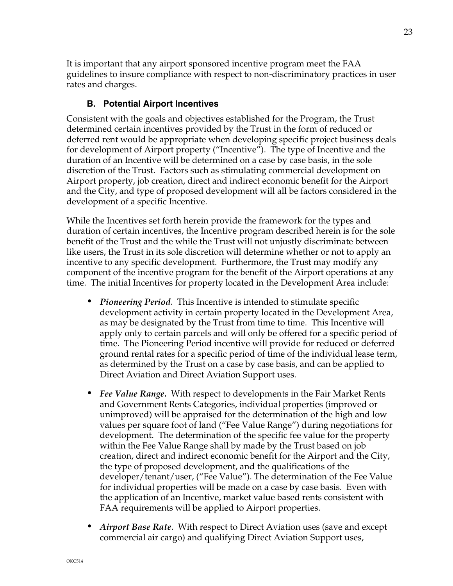It is important that any airport sponsored incentive program meet the FAA guidelines to insure compliance with respect to non-discriminatory practices in user rates and charges.

## **B. Potential Airport Incentives**

Consistent with the goals and objectives established for the Program, the Trust determined certain incentives provided by the Trust in the form of reduced or deferred rent would be appropriate when developing specific project business deals for development of Airport property ("Incentive"). The type of Incentive and the duration of an Incentive will be determined on a case by case basis, in the sole discretion of the Trust. Factors such as stimulating commercial development on Airport property, job creation, direct and indirect economic benefit for the Airport and the City, and type of proposed development will all be factors considered in the development of a specific Incentive.

While the Incentives set forth herein provide the framework for the types and duration of certain incentives, the Incentive program described herein is for the sole benefit of the Trust and the while the Trust will not unjustly discriminate between like users, the Trust in its sole discretion will determine whether or not to apply an incentive to any specific development. Furthermore, the Trust may modify any component of the incentive program for the benefit of the Airport operations at any time. The initial Incentives for property located in the Development Area include:

- *• Pioneering Period*. This Incentive is intended to stimulate specific development activity in certain property located in the Development Area, as may be designated by the Trust from time to time. This Incentive will apply only to certain parcels and will only be offered for a specific period of time. The Pioneering Period incentive will provide for reduced or deferred ground rental rates for a specific period of time of the individual lease term, as determined by the Trust on a case by case basis, and can be applied to Direct Aviation and Direct Aviation Support uses.
- *• Fee Value Range.* With respect to developments in the Fair Market Rents and Government Rents Categories, individual properties (improved or unimproved) will be appraised for the determination of the high and low values per square foot of land ("Fee Value Range") during negotiations for development. The determination of the specific fee value for the property within the Fee Value Range shall by made by the Trust based on job creation, direct and indirect economic benefit for the Airport and the City, the type of proposed development, and the qualifications of the developer/tenant/user, ("Fee Value"). The determination of the Fee Value for individual properties will be made on a case by case basis. Even with the application of an Incentive, market value based rents consistent with FAA requirements will be applied to Airport properties.
- *• Airport Base Rate*. With respect to Direct Aviation uses (save and except commercial air cargo) and qualifying Direct Aviation Support uses,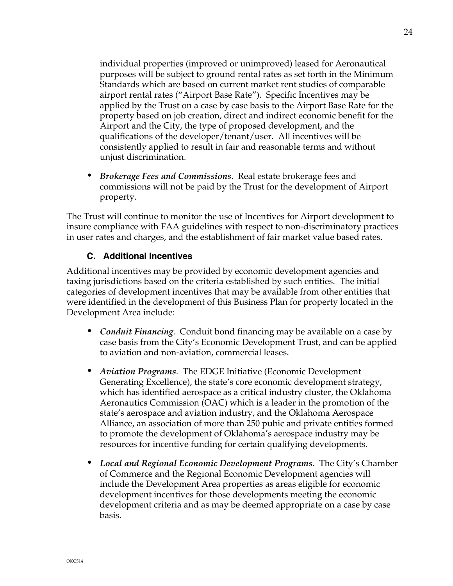individual properties (improved or unimproved) leased for Aeronautical purposes will be subject to ground rental rates as set forth in the Minimum Standards which are based on current market rent studies of comparable airport rental rates ("Airport Base Rate"). Specific Incentives may be applied by the Trust on a case by case basis to the Airport Base Rate for the property based on job creation, direct and indirect economic benefit for the Airport and the City, the type of proposed development, and the qualifications of the developer/tenant/user. All incentives will be consistently applied to result in fair and reasonable terms and without unjust discrimination.

*• Brokerage Fees and Commissions*. Real estate brokerage fees and commissions will not be paid by the Trust for the development of Airport property.

The Trust will continue to monitor the use of Incentives for Airport development to insure compliance with FAA guidelines with respect to non-discriminatory practices in user rates and charges, and the establishment of fair market value based rates.

#### **C. Additional Incentives**

Additional incentives may be provided by economic development agencies and taxing jurisdictions based on the criteria established by such entities. The initial categories of development incentives that may be available from other entities that were identified in the development of this Business Plan for property located in the Development Area include:

- *• Conduit Financing*. Conduit bond financing may be available on a case by case basis from the City's Economic Development Trust, and can be applied to aviation and non-aviation, commercial leases.
- *• Aviation Programs*. The EDGE Initiative (Economic Development Generating Excellence), the state's core economic development strategy, which has identified aerospace as a critical industry cluster, the Oklahoma Aeronautics Commission (OAC) which is a leader in the promotion of the state's aerospace and aviation industry, and the Oklahoma Aerospace Alliance, an association of more than 250 pubic and private entities formed to promote the development of Oklahoma's aerospace industry may be resources for incentive funding for certain qualifying developments.
- *• Local and Regional Economic Development Programs*. The City's Chamber of Commerce and the Regional Economic Development agencies will include the Development Area properties as areas eligible for economic development incentives for those developments meeting the economic development criteria and as may be deemed appropriate on a case by case basis.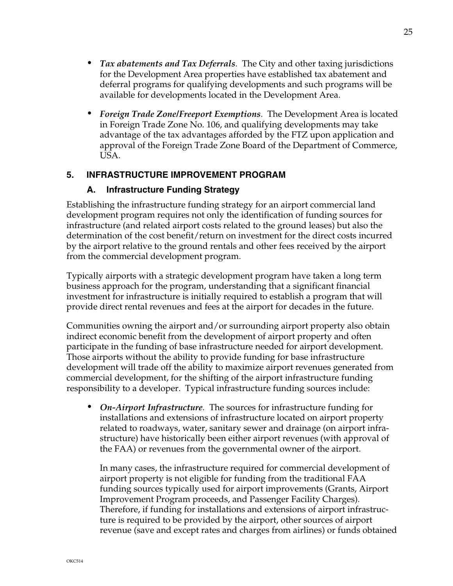- *• Tax abatements and Tax Deferrals*. The City and other taxing jurisdictions for the Development Area properties have established tax abatement and deferral programs for qualifying developments and such programs will be available for developments located in the Development Area.
- *• Foreign Trade Zone/Freeport Exemptions*. The Development Area is located in Foreign Trade Zone No. 106, and qualifying developments may take advantage of the tax advantages afforded by the FTZ upon application and approval of the Foreign Trade Zone Board of the Department of Commerce, USA.

## **5. INFRASTRUCTURE IMPROVEMENT PROGRAM**

#### **A. Infrastructure Funding Strategy**

Establishing the infrastructure funding strategy for an airport commercial land development program requires not only the identification of funding sources for infrastructure (and related airport costs related to the ground leases) but also the determination of the cost benefit/return on investment for the direct costs incurred by the airport relative to the ground rentals and other fees received by the airport from the commercial development program.

Typically airports with a strategic development program have taken a long term business approach for the program, understanding that a significant financial investment for infrastructure is initially required to establish a program that will provide direct rental revenues and fees at the airport for decades in the future.

Communities owning the airport and/or surrounding airport property also obtain indirect economic benefit from the development of airport property and often participate in the funding of base infrastructure needed for airport development. Those airports without the ability to provide funding for base infrastructure development will trade off the ability to maximize airport revenues generated from commercial development, for the shifting of the airport infrastructure funding responsibility to a developer. Typical infrastructure funding sources include:

*• On-Airport Infrastructure.* The sources for infrastructure funding for installations and extensions of infrastructure located on airport property related to roadways, water, sanitary sewer and drainage (on airport infrastructure) have historically been either airport revenues (with approval of the FAA) or revenues from the governmental owner of the airport.

In many cases, the infrastructure required for commercial development of airport property is not eligible for funding from the traditional FAA funding sources typically used for airport improvements (Grants, Airport Improvement Program proceeds, and Passenger Facility Charges). Therefore, if funding for installations and extensions of airport infrastructure is required to be provided by the airport, other sources of airport revenue (save and except rates and charges from airlines) or funds obtained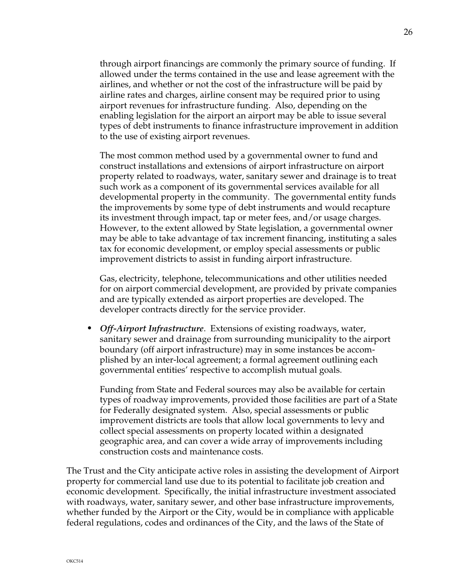through airport financings are commonly the primary source of funding. If allowed under the terms contained in the use and lease agreement with the airlines, and whether or not the cost of the infrastructure will be paid by airline rates and charges, airline consent may be required prior to using airport revenues for infrastructure funding. Also, depending on the enabling legislation for the airport an airport may be able to issue several types of debt instruments to finance infrastructure improvement in addition to the use of existing airport revenues.

The most common method used by a governmental owner to fund and construct installations and extensions of airport infrastructure on airport property related to roadways, water, sanitary sewer and drainage is to treat such work as a component of its governmental services available for all developmental property in the community. The governmental entity funds the improvements by some type of debt instruments and would recapture its investment through impact, tap or meter fees, and/or usage charges. However, to the extent allowed by State legislation, a governmental owner may be able to take advantage of tax increment financing, instituting a sales tax for economic development, or employ special assessments or public improvement districts to assist in funding airport infrastructure.

Gas, electricity, telephone, telecommunications and other utilities needed for on airport commercial development, are provided by private companies and are typically extended as airport properties are developed. The developer contracts directly for the service provider.

*• Off-Airport Infrastructure*. Extensions of existing roadways, water, sanitary sewer and drainage from surrounding municipality to the airport boundary (off airport infrastructure) may in some instances be accomplished by an inter-local agreement; a formal agreement outlining each governmental entities' respective to accomplish mutual goals.

Funding from State and Federal sources may also be available for certain types of roadway improvements, provided those facilities are part of a State for Federally designated system. Also, special assessments or public improvement districts are tools that allow local governments to levy and collect special assessments on property located within a designated geographic area, and can cover a wide array of improvements including construction costs and maintenance costs.

The Trust and the City anticipate active roles in assisting the development of Airport property for commercial land use due to its potential to facilitate job creation and economic development. Specifically, the initial infrastructure investment associated with roadways, water, sanitary sewer, and other base infrastructure improvements, whether funded by the Airport or the City, would be in compliance with applicable federal regulations, codes and ordinances of the City, and the laws of the State of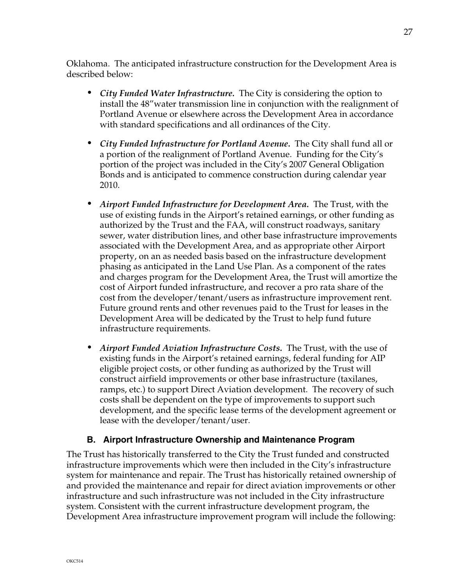Oklahoma. The anticipated infrastructure construction for the Development Area is described below:

- *• City Funded Water Infrastructure.* The City is considering the option to install the 48"water transmission line in conjunction with the realignment of Portland Avenue or elsewhere across the Development Area in accordance with standard specifications and all ordinances of the City.
- *• City Funded Infrastructure for Portland Avenue.* The City shall fund all or a portion of the realignment of Portland Avenue. Funding for the City's portion of the project was included in the City's 2007 General Obligation Bonds and is anticipated to commence construction during calendar year 2010.
- *• Airport Funded Infrastructure for Development Area.* The Trust, with the use of existing funds in the Airport's retained earnings, or other funding as authorized by the Trust and the FAA, will construct roadways, sanitary sewer, water distribution lines, and other base infrastructure improvements associated with the Development Area, and as appropriate other Airport property, on an as needed basis based on the infrastructure development phasing as anticipated in the Land Use Plan. As a component of the rates and charges program for the Development Area, the Trust will amortize the cost of Airport funded infrastructure, and recover a pro rata share of the cost from the developer/tenant/users as infrastructure improvement rent. Future ground rents and other revenues paid to the Trust for leases in the Development Area will be dedicated by the Trust to help fund future infrastructure requirements.
- *• Airport Funded Aviation Infrastructure Costs.* The Trust, with the use of existing funds in the Airport's retained earnings, federal funding for AIP eligible project costs, or other funding as authorized by the Trust will construct airfield improvements or other base infrastructure (taxilanes, ramps, etc.) to support Direct Aviation development. The recovery of such costs shall be dependent on the type of improvements to support such development, and the specific lease terms of the development agreement or lease with the developer/tenant/user.

## **B. Airport Infrastructure Ownership and Maintenance Program**

The Trust has historically transferred to the City the Trust funded and constructed infrastructure improvements which were then included in the City's infrastructure system for maintenance and repair. The Trust has historically retained ownership of and provided the maintenance and repair for direct aviation improvements or other infrastructure and such infrastructure was not included in the City infrastructure system. Consistent with the current infrastructure development program, the Development Area infrastructure improvement program will include the following: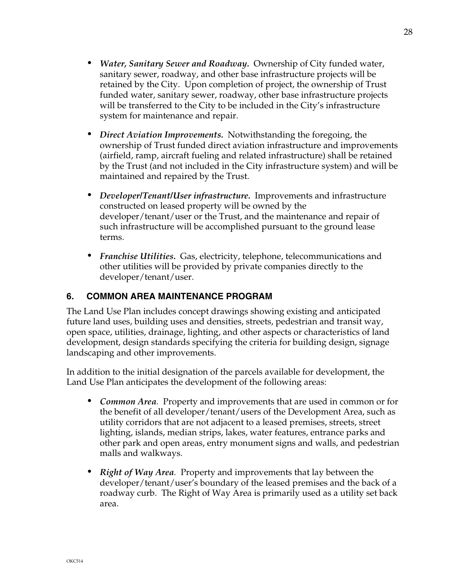- *• Water, Sanitary Sewer and Roadway.* Ownership of City funded water, sanitary sewer, roadway, and other base infrastructure projects will be retained by the City. Upon completion of project, the ownership of Trust funded water, sanitary sewer, roadway, other base infrastructure projects will be transferred to the City to be included in the City's infrastructure system for maintenance and repair.
- *• Direct Aviation Improvements.* Notwithstanding the foregoing, the ownership of Trust funded direct aviation infrastructure and improvements (airfield, ramp, aircraft fueling and related infrastructure) shall be retained by the Trust (and not included in the City infrastructure system) and will be maintained and repaired by the Trust.
- *• Developer/Tenant/User infrastructure.* Improvements and infrastructure constructed on leased property will be owned by the developer/tenant/user or the Trust, and the maintenance and repair of such infrastructure will be accomplished pursuant to the ground lease terms.
- *• Franchise Utilities.* Gas, electricity, telephone, telecommunications and other utilities will be provided by private companies directly to the developer/tenant/user.

## **6. COMMON AREA MAINTENANCE PROGRAM**

The Land Use Plan includes concept drawings showing existing and anticipated future land uses, building uses and densities, streets, pedestrian and transit way, open space, utilities, drainage, lighting, and other aspects or characteristics of land development, design standards specifying the criteria for building design, signage landscaping and other improvements.

In addition to the initial designation of the parcels available for development, the Land Use Plan anticipates the development of the following areas:

- *• Common Area.* Property and improvements that are used in common or for the benefit of all developer/tenant/users of the Development Area, such as utility corridors that are not adjacent to a leased premises, streets, street lighting, islands, median strips, lakes, water features, entrance parks and other park and open areas, entry monument signs and walls, and pedestrian malls and walkways.
- *• Right of Way Area.* Property and improvements that lay between the developer/tenant/user's boundary of the leased premises and the back of a roadway curb. The Right of Way Area is primarily used as a utility set back area.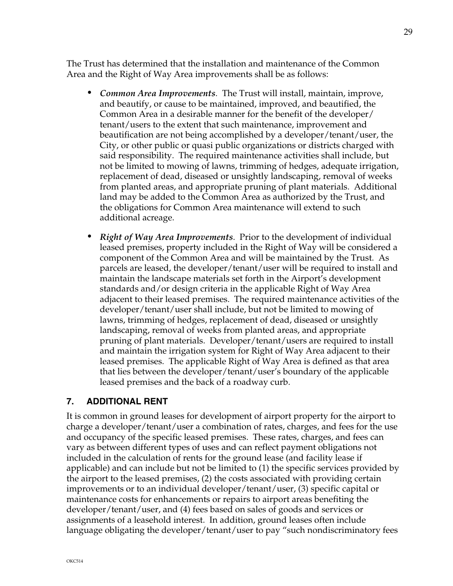The Trust has determined that the installation and maintenance of the Common Area and the Right of Way Area improvements shall be as follows:

- *• Common Area Improvements*. The Trust will install, maintain, improve, and beautify, or cause to be maintained, improved, and beautified, the Common Area in a desirable manner for the benefit of the developer/ tenant/users to the extent that such maintenance, improvement and beautification are not being accomplished by a developer/tenant/user, the City, or other public or quasi public organizations or districts charged with said responsibility. The required maintenance activities shall include, but not be limited to mowing of lawns, trimming of hedges, adequate irrigation, replacement of dead, diseased or unsightly landscaping, removal of weeks from planted areas, and appropriate pruning of plant materials. Additional land may be added to the Common Area as authorized by the Trust, and the obligations for Common Area maintenance will extend to such additional acreage.
- *• Right of Way Area Improvements*. Prior to the development of individual leased premises, property included in the Right of Way will be considered a component of the Common Area and will be maintained by the Trust. As parcels are leased, the developer/tenant/user will be required to install and maintain the landscape materials set forth in the Airport's development standards and/or design criteria in the applicable Right of Way Area adjacent to their leased premises. The required maintenance activities of the developer/tenant/user shall include, but not be limited to mowing of lawns, trimming of hedges, replacement of dead, diseased or unsightly landscaping, removal of weeks from planted areas, and appropriate pruning of plant materials. Developer/tenant/users are required to install and maintain the irrigation system for Right of Way Area adjacent to their leased premises. The applicable Right of Way Area is defined as that area that lies between the developer/tenant/user's boundary of the applicable leased premises and the back of a roadway curb.

## **7. ADDITIONAL RENT**

It is common in ground leases for development of airport property for the airport to charge a developer/tenant/user a combination of rates, charges, and fees for the use and occupancy of the specific leased premises. These rates, charges, and fees can vary as between different types of uses and can reflect payment obligations not included in the calculation of rents for the ground lease (and facility lease if applicable) and can include but not be limited to (1) the specific services provided by the airport to the leased premises, (2) the costs associated with providing certain improvements or to an individual developer/tenant/user, (3) specific capital or maintenance costs for enhancements or repairs to airport areas benefiting the developer/tenant/user, and (4) fees based on sales of goods and services or assignments of a leasehold interest. In addition, ground leases often include language obligating the developer/tenant/user to pay "such nondiscriminatory fees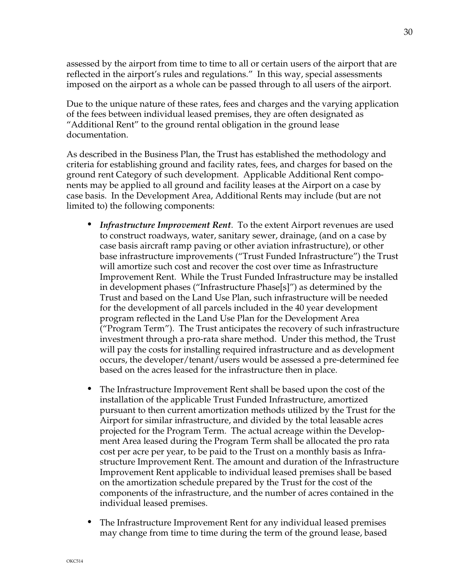assessed by the airport from time to time to all or certain users of the airport that are reflected in the airport's rules and regulations." In this way, special assessments imposed on the airport as a whole can be passed through to all users of the airport.

Due to the unique nature of these rates, fees and charges and the varying application of the fees between individual leased premises, they are often designated as "Additional Rent" to the ground rental obligation in the ground lease documentation.

As described in the Business Plan, the Trust has established the methodology and criteria for establishing ground and facility rates, fees, and charges for based on the ground rent Category of such development. Applicable Additional Rent components may be applied to all ground and facility leases at the Airport on a case by case basis. In the Development Area, Additional Rents may include (but are not limited to) the following components:

- *• Infrastructure Improvement Rent*. To the extent Airport revenues are used to construct roadways, water, sanitary sewer, drainage, (and on a case by case basis aircraft ramp paving or other aviation infrastructure), or other base infrastructure improvements ("Trust Funded Infrastructure") the Trust will amortize such cost and recover the cost over time as Infrastructure Improvement Rent. While the Trust Funded Infrastructure may be installed in development phases ("Infrastructure Phase[s]") as determined by the Trust and based on the Land Use Plan, such infrastructure will be needed for the development of all parcels included in the 40 year development program reflected in the Land Use Plan for the Development Area ("Program Term"). The Trust anticipates the recovery of such infrastructure investment through a pro-rata share method. Under this method, the Trust will pay the costs for installing required infrastructure and as development occurs, the developer/tenant/users would be assessed a pre-determined fee based on the acres leased for the infrastructure then in place.
- *•* The Infrastructure Improvement Rent shall be based upon the cost of the installation of the applicable Trust Funded Infrastructure, amortized pursuant to then current amortization methods utilized by the Trust for the Airport for similar infrastructure, and divided by the total leasable acres projected for the Program Term. The actual acreage within the Development Area leased during the Program Term shall be allocated the pro rata cost per acre per year, to be paid to the Trust on a monthly basis as Infrastructure Improvement Rent. The amount and duration of the Infrastructure Improvement Rent applicable to individual leased premises shall be based on the amortization schedule prepared by the Trust for the cost of the components of the infrastructure, and the number of acres contained in the individual leased premises.
- *•* The Infrastructure Improvement Rent for any individual leased premises may change from time to time during the term of the ground lease, based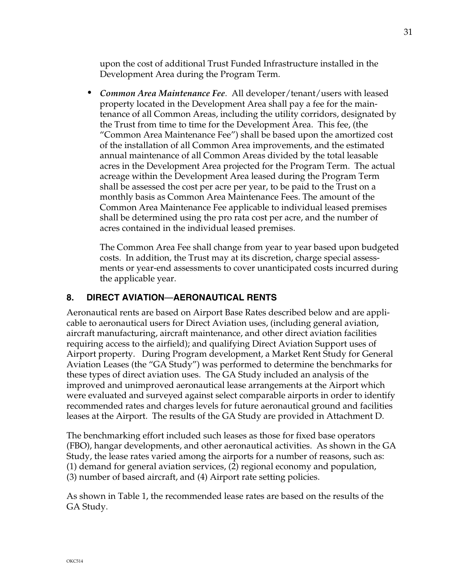upon the cost of additional Trust Funded Infrastructure installed in the Development Area during the Program Term.

*• Common Area Maintenance Fee*. All developer/tenant/users with leased property located in the Development Area shall pay a fee for the maintenance of all Common Areas, including the utility corridors, designated by the Trust from time to time for the Development Area. This fee, (the "Common Area Maintenance Fee") shall be based upon the amortized cost of the installation of all Common Area improvements, and the estimated annual maintenance of all Common Areas divided by the total leasable acres in the Development Area projected for the Program Term. The actual acreage within the Development Area leased during the Program Term shall be assessed the cost per acre per year, to be paid to the Trust on a monthly basis as Common Area Maintenance Fees. The amount of the Common Area Maintenance Fee applicable to individual leased premises shall be determined using the pro rata cost per acre, and the number of acres contained in the individual leased premises.

The Common Area Fee shall change from year to year based upon budgeted costs. In addition, the Trust may at its discretion, charge special assessments or year-end assessments to cover unanticipated costs incurred during the applicable year.

## **8. DIRECT AVIATION**—**AERONAUTICAL RENTS**

Aeronautical rents are based on Airport Base Rates described below and are applicable to aeronautical users for Direct Aviation uses, (including general aviation, aircraft manufacturing, aircraft maintenance, and other direct aviation facilities requiring access to the airfield); and qualifying Direct Aviation Support uses of Airport property. During Program development, a Market Rent Study for General Aviation Leases (the "GA Study") was performed to determine the benchmarks for these types of direct aviation uses. The GA Study included an analysis of the improved and unimproved aeronautical lease arrangements at the Airport which were evaluated and surveyed against select comparable airports in order to identify recommended rates and charges levels for future aeronautical ground and facilities leases at the Airport. The results of the GA Study are provided in Attachment D.

The benchmarking effort included such leases as those for fixed base operators (FBO), hangar developments, and other aeronautical activities. As shown in the GA Study, the lease rates varied among the airports for a number of reasons, such as: (1) demand for general aviation services, (2) regional economy and population, (3) number of based aircraft, and (4) Airport rate setting policies.

As shown in Table 1, the recommended lease rates are based on the results of the GA Study.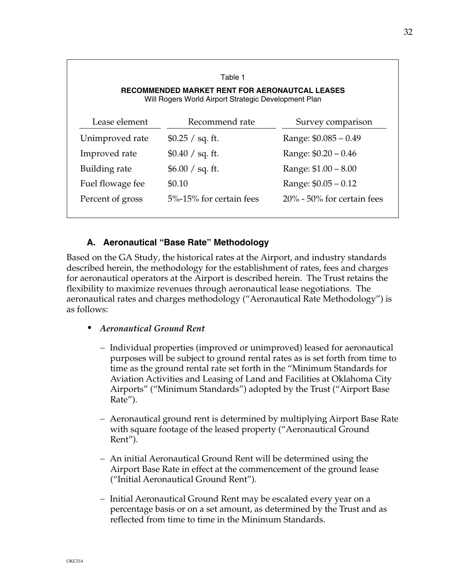| Table 1<br>RECOMMENDED MARKET RENT FOR AERONAUTCAL LEASES<br>Will Rogers World Airport Strategic Development Plan |                         |                               |
|-------------------------------------------------------------------------------------------------------------------|-------------------------|-------------------------------|
| Lease element                                                                                                     | Recommend rate          | Survey comparison             |
| Unimproved rate                                                                                                   | \$0.25 / sq. ft.        | Range: $$0.085 - 0.49$        |
| Improved rate                                                                                                     | \$0.40 / sq. ft.        | Range: \$0.20 - 0.46          |
| Building rate                                                                                                     | \$6.00 / sq. ft.        | Range: \$1.00 - 8.00          |
| Fuel flowage fee                                                                                                  | \$0.10                  | Range: \$0.05 - 0.12          |
| Percent of gross                                                                                                  | 5%-15% for certain fees | $20\%$ - 50% for certain fees |

## **A. Aeronautical "Base Rate" Methodology**

Based on the GA Study, the historical rates at the Airport, and industry standards described herein, the methodology for the establishment of rates, fees and charges for aeronautical operators at the Airport is described herein. The Trust retains the flexibility to maximize revenues through aeronautical lease negotiations. The aeronautical rates and charges methodology ("Aeronautical Rate Methodology") is as follows:

- *• Aeronautical Ground Rent* 
	- Individual properties (improved or unimproved) leased for aeronautical purposes will be subject to ground rental rates as is set forth from time to time as the ground rental rate set forth in the "Minimum Standards for Aviation Activities and Leasing of Land and Facilities at Oklahoma City Airports" ("Minimum Standards") adopted by the Trust ("Airport Base Rate").
	- Aeronautical ground rent is determined by multiplying Airport Base Rate with square footage of the leased property ("Aeronautical Ground Rent").
	- An initial Aeronautical Ground Rent will be determined using the Airport Base Rate in effect at the commencement of the ground lease ("Initial Aeronautical Ground Rent").
	- Initial Aeronautical Ground Rent may be escalated every year on a percentage basis or on a set amount, as determined by the Trust and as reflected from time to time in the Minimum Standards.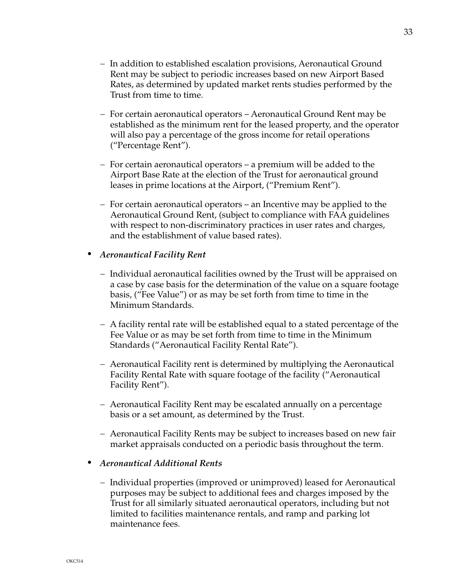- In addition to established escalation provisions, Aeronautical Ground Rent may be subject to periodic increases based on new Airport Based Rates, as determined by updated market rents studies performed by the Trust from time to time.
- For certain aeronautical operators Aeronautical Ground Rent may be established as the minimum rent for the leased property, and the operator will also pay a percentage of the gross income for retail operations ("Percentage Rent").
- $-$  For certain aeronautical operators a premium will be added to the Airport Base Rate at the election of the Trust for aeronautical ground leases in prime locations at the Airport, ("Premium Rent").
- $-$  For certain aeronautical operators an Incentive may be applied to the Aeronautical Ground Rent, (subject to compliance with FAA guidelines with respect to non-discriminatory practices in user rates and charges, and the establishment of value based rates).

#### *• Aeronautical Facility Rent*

- Individual aeronautical facilities owned by the Trust will be appraised on a case by case basis for the determination of the value on a square footage basis, ("Fee Value") or as may be set forth from time to time in the Minimum Standards.
- A facility rental rate will be established equal to a stated percentage of the Fee Value or as may be set forth from time to time in the Minimum Standards ("Aeronautical Facility Rental Rate").
- Aeronautical Facility rent is determined by multiplying the Aeronautical Facility Rental Rate with square footage of the facility ("Aeronautical Facility Rent").
- Aeronautical Facility Rent may be escalated annually on a percentage basis or a set amount, as determined by the Trust.
- Aeronautical Facility Rents may be subject to increases based on new fair market appraisals conducted on a periodic basis throughout the term.
- *• Aeronautical Additional Rents* 
	- Individual properties (improved or unimproved) leased for Aeronautical purposes may be subject to additional fees and charges imposed by the Trust for all similarly situated aeronautical operators, including but not limited to facilities maintenance rentals, and ramp and parking lot maintenance fees.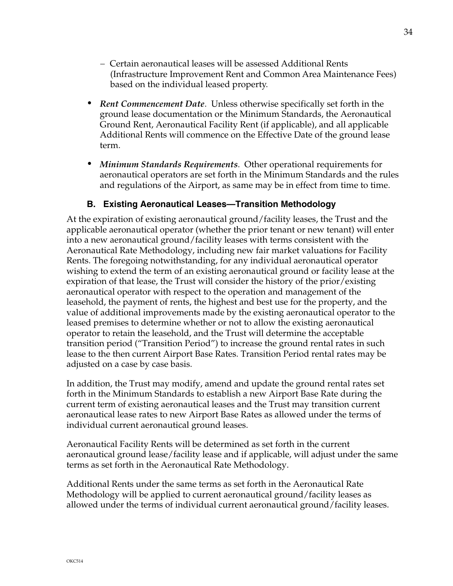- Certain aeronautical leases will be assessed Additional Rents (Infrastructure Improvement Rent and Common Area Maintenance Fees) based on the individual leased property.
- *• Rent Commencement Date*. Unless otherwise specifically set forth in the ground lease documentation or the Minimum Standards, the Aeronautical Ground Rent, Aeronautical Facility Rent (if applicable), and all applicable Additional Rents will commence on the Effective Date of the ground lease term.
- *• Minimum Standards Requirements*. Other operational requirements for aeronautical operators are set forth in the Minimum Standards and the rules and regulations of the Airport, as same may be in effect from time to time.

## **B. Existing Aeronautical Leases—Transition Methodology**

At the expiration of existing aeronautical ground/facility leases, the Trust and the applicable aeronautical operator (whether the prior tenant or new tenant) will enter into a new aeronautical ground/facility leases with terms consistent with the Aeronautical Rate Methodology, including new fair market valuations for Facility Rents. The foregoing notwithstanding, for any individual aeronautical operator wishing to extend the term of an existing aeronautical ground or facility lease at the expiration of that lease, the Trust will consider the history of the prior/existing aeronautical operator with respect to the operation and management of the leasehold, the payment of rents, the highest and best use for the property, and the value of additional improvements made by the existing aeronautical operator to the leased premises to determine whether or not to allow the existing aeronautical operator to retain the leasehold, and the Trust will determine the acceptable transition period ("Transition Period") to increase the ground rental rates in such lease to the then current Airport Base Rates. Transition Period rental rates may be adjusted on a case by case basis.

In addition, the Trust may modify, amend and update the ground rental rates set forth in the Minimum Standards to establish a new Airport Base Rate during the current term of existing aeronautical leases and the Trust may transition current aeronautical lease rates to new Airport Base Rates as allowed under the terms of individual current aeronautical ground leases.

Aeronautical Facility Rents will be determined as set forth in the current aeronautical ground lease/facility lease and if applicable, will adjust under the same terms as set forth in the Aeronautical Rate Methodology.

Additional Rents under the same terms as set forth in the Aeronautical Rate Methodology will be applied to current aeronautical ground/facility leases as allowed under the terms of individual current aeronautical ground/facility leases.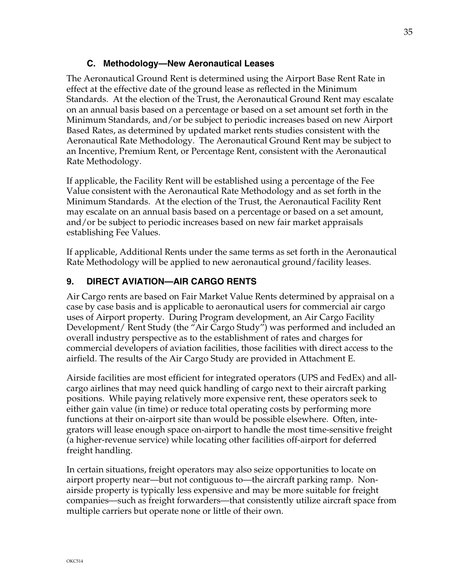#### **C. Methodology—New Aeronautical Leases**

The Aeronautical Ground Rent is determined using the Airport Base Rent Rate in effect at the effective date of the ground lease as reflected in the Minimum Standards. At the election of the Trust, the Aeronautical Ground Rent may escalate on an annual basis based on a percentage or based on a set amount set forth in the Minimum Standards, and/or be subject to periodic increases based on new Airport Based Rates, as determined by updated market rents studies consistent with the Aeronautical Rate Methodology. The Aeronautical Ground Rent may be subject to an Incentive, Premium Rent, or Percentage Rent, consistent with the Aeronautical Rate Methodology.

If applicable, the Facility Rent will be established using a percentage of the Fee Value consistent with the Aeronautical Rate Methodology and as set forth in the Minimum Standards. At the election of the Trust, the Aeronautical Facility Rent may escalate on an annual basis based on a percentage or based on a set amount, and/or be subject to periodic increases based on new fair market appraisals establishing Fee Values.

If applicable, Additional Rents under the same terms as set forth in the Aeronautical Rate Methodology will be applied to new aeronautical ground/facility leases.

## **9. DIRECT AVIATION—AIR CARGO RENTS**

Air Cargo rents are based on Fair Market Value Rents determined by appraisal on a case by case basis and is applicable to aeronautical users for commercial air cargo uses of Airport property. During Program development, an Air Cargo Facility Development/ Rent Study (the "Air Cargo Study") was performed and included an overall industry perspective as to the establishment of rates and charges for commercial developers of aviation facilities, those facilities with direct access to the airfield. The results of the Air Cargo Study are provided in Attachment E.

Airside facilities are most efficient for integrated operators (UPS and FedEx) and allcargo airlines that may need quick handling of cargo next to their aircraft parking positions. While paying relatively more expensive rent, these operators seek to either gain value (in time) or reduce total operating costs by performing more functions at their on-airport site than would be possible elsewhere. Often, integrators will lease enough space on-airport to handle the most time-sensitive freight (a higher-revenue service) while locating other facilities off-airport for deferred freight handling.

In certain situations, freight operators may also seize opportunities to locate on airport property near—but not contiguous to—the aircraft parking ramp. Nonairside property is typically less expensive and may be more suitable for freight companies—such as freight forwarders—that consistently utilize aircraft space from multiple carriers but operate none or little of their own.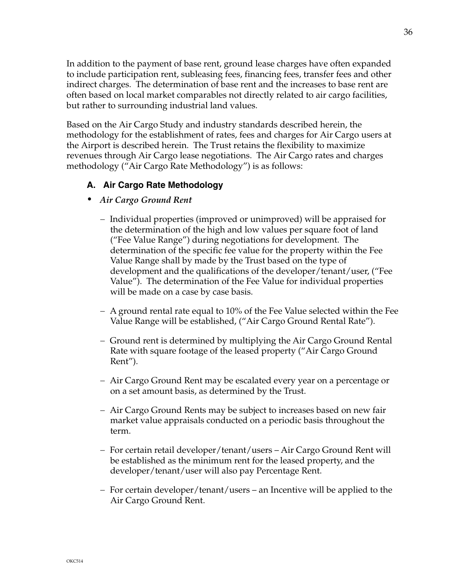In addition to the payment of base rent, ground lease charges have often expanded to include participation rent, subleasing fees, financing fees, transfer fees and other indirect charges. The determination of base rent and the increases to base rent are often based on local market comparables not directly related to air cargo facilities, but rather to surrounding industrial land values.

Based on the Air Cargo Study and industry standards described herein, the methodology for the establishment of rates, fees and charges for Air Cargo users at the Airport is described herein. The Trust retains the flexibility to maximize revenues through Air Cargo lease negotiations. The Air Cargo rates and charges methodology ("Air Cargo Rate Methodology") is as follows:

## **A. Air Cargo Rate Methodology**

- *• Air Cargo Ground Rent* 
	- Individual properties (improved or unimproved) will be appraised for the determination of the high and low values per square foot of land ("Fee Value Range") during negotiations for development. The determination of the specific fee value for the property within the Fee Value Range shall by made by the Trust based on the type of development and the qualifications of the developer/tenant/user, ("Fee Value"). The determination of the Fee Value for individual properties will be made on a case by case basis.
	- $-$  A ground rental rate equal to 10% of the Fee Value selected within the Fee Value Range will be established, ("Air Cargo Ground Rental Rate").
	- Ground rent is determined by multiplying the Air Cargo Ground Rental Rate with square footage of the leased property ("Air Cargo Ground Rent").
	- Air Cargo Ground Rent may be escalated every year on a percentage or on a set amount basis, as determined by the Trust.
	- Air Cargo Ground Rents may be subject to increases based on new fair market value appraisals conducted on a periodic basis throughout the term.
	- For certain retail developer/tenant/users Air Cargo Ground Rent will be established as the minimum rent for the leased property, and the developer/tenant/user will also pay Percentage Rent.
	- $-$  For certain developer/tenant/users an Incentive will be applied to the Air Cargo Ground Rent.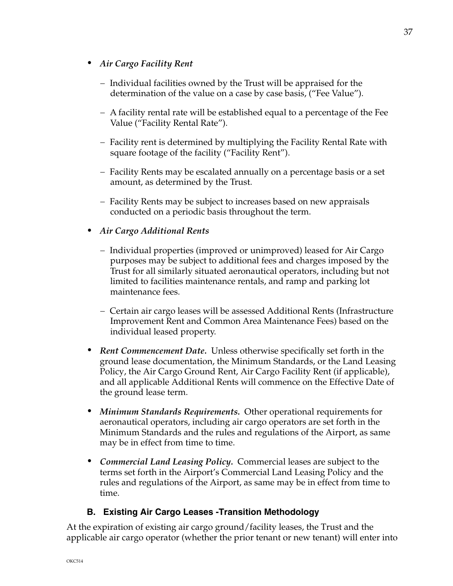- *• Air Cargo Facility Rent* 
	- Individual facilities owned by the Trust will be appraised for the determination of the value on a case by case basis, ("Fee Value").
	- A facility rental rate will be established equal to a percentage of the Fee Value ("Facility Rental Rate").
	- Facility rent is determined by multiplying the Facility Rental Rate with square footage of the facility ("Facility Rent").
	- Facility Rents may be escalated annually on a percentage basis or a set amount, as determined by the Trust.
	- Facility Rents may be subject to increases based on new appraisals conducted on a periodic basis throughout the term.

## *• Air Cargo Additional Rents*

- Individual properties (improved or unimproved) leased for Air Cargo purposes may be subject to additional fees and charges imposed by the Trust for all similarly situated aeronautical operators, including but not limited to facilities maintenance rentals, and ramp and parking lot maintenance fees.
- Certain air cargo leases will be assessed Additional Rents (Infrastructure Improvement Rent and Common Area Maintenance Fees) based on the individual leased property.
- *• Rent Commencement Date.* Unless otherwise specifically set forth in the ground lease documentation, the Minimum Standards, or the Land Leasing Policy, the Air Cargo Ground Rent, Air Cargo Facility Rent (if applicable), and all applicable Additional Rents will commence on the Effective Date of the ground lease term.
- *• Minimum Standards Requirements.* Other operational requirements for aeronautical operators, including air cargo operators are set forth in the Minimum Standards and the rules and regulations of the Airport, as same may be in effect from time to time.
- *• Commercial Land Leasing Policy.* Commercial leases are subject to the terms set forth in the Airport's Commercial Land Leasing Policy and the rules and regulations of the Airport, as same may be in effect from time to time.

## **B. Existing Air Cargo Leases -Transition Methodology**

At the expiration of existing air cargo ground/facility leases, the Trust and the applicable air cargo operator (whether the prior tenant or new tenant) will enter into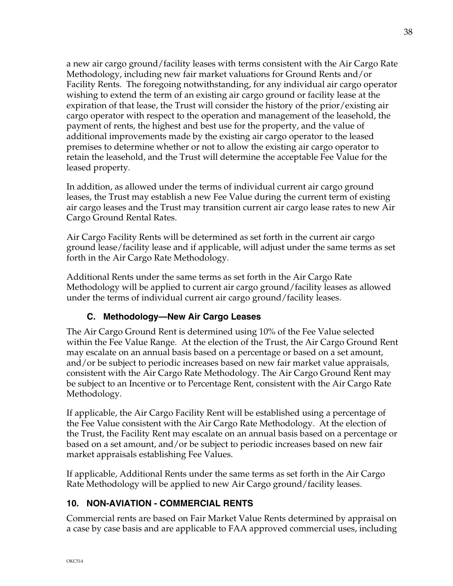a new air cargo ground/facility leases with terms consistent with the Air Cargo Rate Methodology, including new fair market valuations for Ground Rents and/or Facility Rents. The foregoing notwithstanding, for any individual air cargo operator wishing to extend the term of an existing air cargo ground or facility lease at the expiration of that lease, the Trust will consider the history of the prior/existing air cargo operator with respect to the operation and management of the leasehold, the payment of rents, the highest and best use for the property, and the value of additional improvements made by the existing air cargo operator to the leased premises to determine whether or not to allow the existing air cargo operator to retain the leasehold, and the Trust will determine the acceptable Fee Value for the leased property.

In addition, as allowed under the terms of individual current air cargo ground leases, the Trust may establish a new Fee Value during the current term of existing air cargo leases and the Trust may transition current air cargo lease rates to new Air Cargo Ground Rental Rates.

Air Cargo Facility Rents will be determined as set forth in the current air cargo ground lease/facility lease and if applicable, will adjust under the same terms as set forth in the Air Cargo Rate Methodology.

Additional Rents under the same terms as set forth in the Air Cargo Rate Methodology will be applied to current air cargo ground/facility leases as allowed under the terms of individual current air cargo ground/facility leases.

# **C. Methodology—New Air Cargo Leases**

The Air Cargo Ground Rent is determined using 10% of the Fee Value selected within the Fee Value Range. At the election of the Trust, the Air Cargo Ground Rent may escalate on an annual basis based on a percentage or based on a set amount, and/or be subject to periodic increases based on new fair market value appraisals, consistent with the Air Cargo Rate Methodology. The Air Cargo Ground Rent may be subject to an Incentive or to Percentage Rent, consistent with the Air Cargo Rate Methodology.

If applicable, the Air Cargo Facility Rent will be established using a percentage of the Fee Value consistent with the Air Cargo Rate Methodology. At the election of the Trust, the Facility Rent may escalate on an annual basis based on a percentage or based on a set amount, and/or be subject to periodic increases based on new fair market appraisals establishing Fee Values.

If applicable, Additional Rents under the same terms as set forth in the Air Cargo Rate Methodology will be applied to new Air Cargo ground/facility leases.

# **10. NON-AVIATION - COMMERCIAL RENTS**

Commercial rents are based on Fair Market Value Rents determined by appraisal on a case by case basis and are applicable to FAA approved commercial uses, including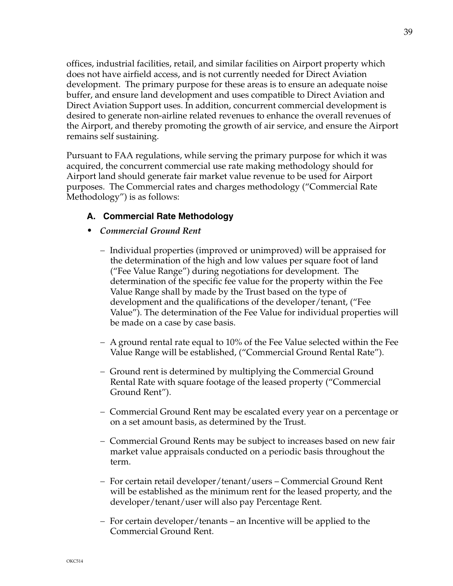offices, industrial facilities, retail, and similar facilities on Airport property which does not have airfield access, and is not currently needed for Direct Aviation development. The primary purpose for these areas is to ensure an adequate noise buffer, and ensure land development and uses compatible to Direct Aviation and Direct Aviation Support uses. In addition, concurrent commercial development is desired to generate non-airline related revenues to enhance the overall revenues of the Airport, and thereby promoting the growth of air service, and ensure the Airport remains self sustaining.

Pursuant to FAA regulations, while serving the primary purpose for which it was acquired, the concurrent commercial use rate making methodology should for Airport land should generate fair market value revenue to be used for Airport purposes. The Commercial rates and charges methodology ("Commercial Rate Methodology") is as follows:

## **A. Commercial Rate Methodology**

#### *• Commercial Ground Rent*

- Individual properties (improved or unimproved) will be appraised for the determination of the high and low values per square foot of land ("Fee Value Range") during negotiations for development. The determination of the specific fee value for the property within the Fee Value Range shall by made by the Trust based on the type of development and the qualifications of the developer/tenant, ("Fee Value"). The determination of the Fee Value for individual properties will be made on a case by case basis.
- A ground rental rate equal to 10% of the Fee Value selected within the Fee Value Range will be established, ("Commercial Ground Rental Rate").
- Ground rent is determined by multiplying the Commercial Ground Rental Rate with square footage of the leased property ("Commercial Ground Rent").
- Commercial Ground Rent may be escalated every year on a percentage or on a set amount basis, as determined by the Trust.
- Commercial Ground Rents may be subject to increases based on new fair market value appraisals conducted on a periodic basis throughout the term.
- For certain retail developer/tenant/users Commercial Ground Rent will be established as the minimum rent for the leased property, and the developer/tenant/user will also pay Percentage Rent.
- $-$  For certain developer/tenants an Incentive will be applied to the Commercial Ground Rent.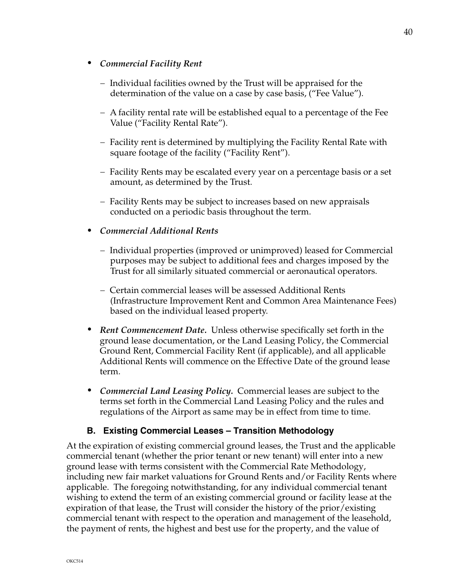#### *• Commercial Facility Rent*

- Individual facilities owned by the Trust will be appraised for the determination of the value on a case by case basis, ("Fee Value").
- A facility rental rate will be established equal to a percentage of the Fee Value ("Facility Rental Rate").
- Facility rent is determined by multiplying the Facility Rental Rate with square footage of the facility ("Facility Rent").
- Facility Rents may be escalated every year on a percentage basis or a set amount, as determined by the Trust.
- Facility Rents may be subject to increases based on new appraisals conducted on a periodic basis throughout the term.

#### *• Commercial Additional Rents*

- Individual properties (improved or unimproved) leased for Commercial purposes may be subject to additional fees and charges imposed by the Trust for all similarly situated commercial or aeronautical operators.
- Certain commercial leases will be assessed Additional Rents (Infrastructure Improvement Rent and Common Area Maintenance Fees) based on the individual leased property.
- *• Rent Commencement Date.* Unless otherwise specifically set forth in the ground lease documentation, or the Land Leasing Policy, the Commercial Ground Rent, Commercial Facility Rent (if applicable), and all applicable Additional Rents will commence on the Effective Date of the ground lease term.
- *• Commercial Land Leasing Policy.* Commercial leases are subject to the terms set forth in the Commercial Land Leasing Policy and the rules and regulations of the Airport as same may be in effect from time to time.

#### **B. Existing Commercial Leases – Transition Methodology**

At the expiration of existing commercial ground leases, the Trust and the applicable commercial tenant (whether the prior tenant or new tenant) will enter into a new ground lease with terms consistent with the Commercial Rate Methodology, including new fair market valuations for Ground Rents and/or Facility Rents where applicable. The foregoing notwithstanding, for any individual commercial tenant wishing to extend the term of an existing commercial ground or facility lease at the expiration of that lease, the Trust will consider the history of the prior/existing commercial tenant with respect to the operation and management of the leasehold, the payment of rents, the highest and best use for the property, and the value of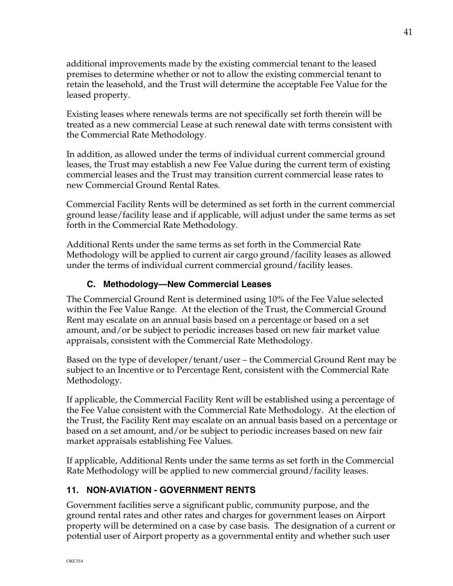additional improvements made by the existing commercial tenant to the leased premises to determine whether or not to allow the existing commercial tenant to retain the leasehold, and the Trust will determine the acceptable Fee Value for the leased property.

Existing leases where renewals terms are not specifically set forth therein will be treated as a new commercial Lease at such renewal date with terms consistent with the Commercial Rate Methodology.

In addition, as allowed under the terms of individual current commercial ground leases, the Trust may establish a new Fee Value during the current term of existing commercial leases and the Trust may transition current commercial lease rates to new Commercial Ground Rental Rates.

Commercial Facility Rents will be determined as set forth in the current commercial ground lease/facility lease and if applicable, will adjust under the same terms as set forth in the Commercial Rate Methodology.

Additional Rents under the same terms as set forth in the Commercial Rate Methodology will be applied to current air cargo ground/facility leases as allowed under the terms of individual current commercial ground/facility leases.

## **C. Methodology—New Commercial Leases**

The Commercial Ground Rent is determined using 10% of the Fee Value selected within the Fee Value Range. At the election of the Trust, the Commercial Ground Rent may escalate on an annual basis based on a percentage or based on a set amount, and/or be subject to periodic increases based on new fair market value appraisals, consistent with the Commercial Rate Methodology.

Based on the type of developer/tenant/user – the Commercial Ground Rent may be subject to an Incentive or to Percentage Rent, consistent with the Commercial Rate Methodology.

If applicable, the Commercial Facility Rent will be established using a percentage of the Fee Value consistent with the Commercial Rate Methodology. At the election of the Trust, the Facility Rent may escalate on an annual basis based on a percentage or based on a set amount, and/or be subject to periodic increases based on new fair market appraisals establishing Fee Values.

If applicable, Additional Rents under the same terms as set forth in the Commercial Rate Methodology will be applied to new commercial ground/facility leases.

# **11. NON-AVIATION - GOVERNMENT RENTS**

Government facilities serve a significant public, community purpose, and the ground rental rates and other rates and charges for government leases on Airport property will be determined on a case by case basis. The designation of a current or potential user of Airport property as a governmental entity and whether such user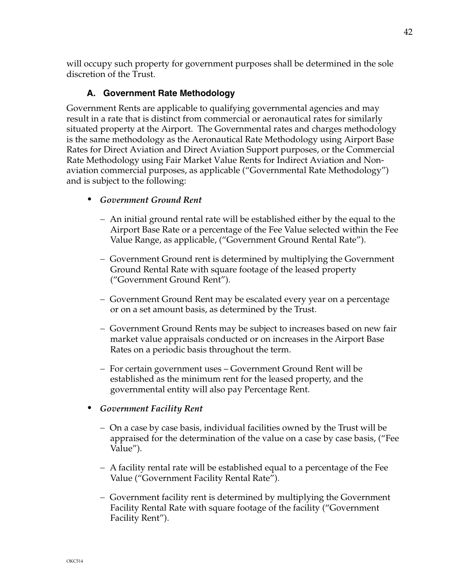will occupy such property for government purposes shall be determined in the sole discretion of the Trust.

## **A. Government Rate Methodology**

Government Rents are applicable to qualifying governmental agencies and may result in a rate that is distinct from commercial or aeronautical rates for similarly situated property at the Airport. The Governmental rates and charges methodology is the same methodology as the Aeronautical Rate Methodology using Airport Base Rates for Direct Aviation and Direct Aviation Support purposes, or the Commercial Rate Methodology using Fair Market Value Rents for Indirect Aviation and Nonaviation commercial purposes, as applicable ("Governmental Rate Methodology") and is subject to the following:

- *• Government Ground Rent* 
	- An initial ground rental rate will be established either by the equal to the Airport Base Rate or a percentage of the Fee Value selected within the Fee Value Range, as applicable, ("Government Ground Rental Rate").
	- Government Ground rent is determined by multiplying the Government Ground Rental Rate with square footage of the leased property ("Government Ground Rent").
	- Government Ground Rent may be escalated every year on a percentage or on a set amount basis, as determined by the Trust.
	- Government Ground Rents may be subject to increases based on new fair market value appraisals conducted or on increases in the Airport Base Rates on a periodic basis throughout the term.
	- For certain government uses Government Ground Rent will be established as the minimum rent for the leased property, and the governmental entity will also pay Percentage Rent.
- *• Government Facility Rent* 
	- On a case by case basis, individual facilities owned by the Trust will be appraised for the determination of the value on a case by case basis, ("Fee Value").
	- A facility rental rate will be established equal to a percentage of the Fee Value ("Government Facility Rental Rate").
	- Government facility rent is determined by multiplying the Government Facility Rental Rate with square footage of the facility ("Government Facility Rent").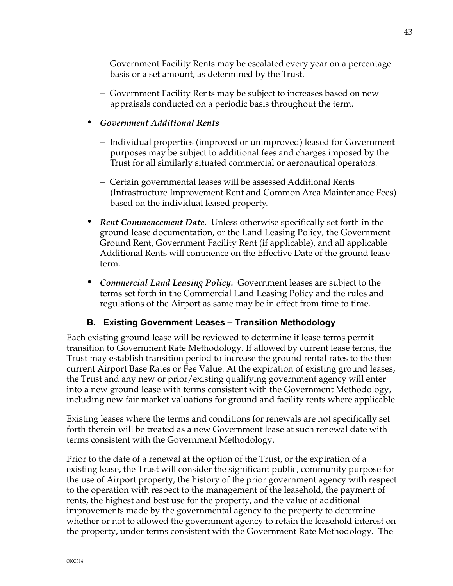- Government Facility Rents may be escalated every year on a percentage basis or a set amount, as determined by the Trust.
- Government Facility Rents may be subject to increases based on new appraisals conducted on a periodic basis throughout the term.

#### *• Government Additional Rents*

- Individual properties (improved or unimproved) leased for Government purposes may be subject to additional fees and charges imposed by the Trust for all similarly situated commercial or aeronautical operators.
- Certain governmental leases will be assessed Additional Rents (Infrastructure Improvement Rent and Common Area Maintenance Fees) based on the individual leased property.
- *• Rent Commencement Date.* Unless otherwise specifically set forth in the ground lease documentation, or the Land Leasing Policy, the Government Ground Rent, Government Facility Rent (if applicable), and all applicable Additional Rents will commence on the Effective Date of the ground lease term.
- *• Commercial Land Leasing Policy.* Government leases are subject to the terms set forth in the Commercial Land Leasing Policy and the rules and regulations of the Airport as same may be in effect from time to time.

## **B. Existing Government Leases – Transition Methodology**

Each existing ground lease will be reviewed to determine if lease terms permit transition to Government Rate Methodology. If allowed by current lease terms, the Trust may establish transition period to increase the ground rental rates to the then current Airport Base Rates or Fee Value. At the expiration of existing ground leases, the Trust and any new or prior/existing qualifying government agency will enter into a new ground lease with terms consistent with the Government Methodology, including new fair market valuations for ground and facility rents where applicable.

Existing leases where the terms and conditions for renewals are not specifically set forth therein will be treated as a new Government lease at such renewal date with terms consistent with the Government Methodology.

Prior to the date of a renewal at the option of the Trust, or the expiration of a existing lease, the Trust will consider the significant public, community purpose for the use of Airport property, the history of the prior government agency with respect to the operation with respect to the management of the leasehold, the payment of rents, the highest and best use for the property, and the value of additional improvements made by the governmental agency to the property to determine whether or not to allowed the government agency to retain the leasehold interest on the property, under terms consistent with the Government Rate Methodology. The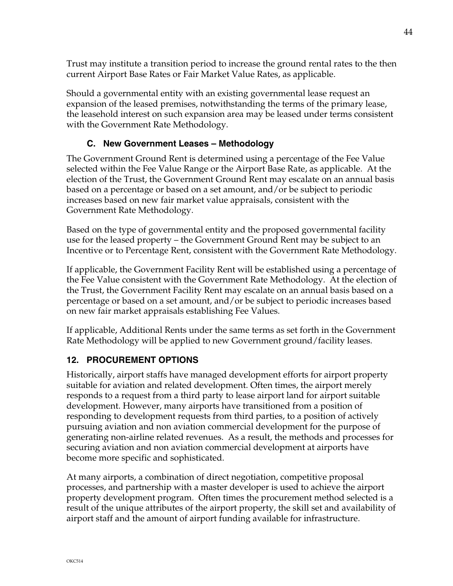Trust may institute a transition period to increase the ground rental rates to the then current Airport Base Rates or Fair Market Value Rates, as applicable.

Should a governmental entity with an existing governmental lease request an expansion of the leased premises, notwithstanding the terms of the primary lease, the leasehold interest on such expansion area may be leased under terms consistent with the Government Rate Methodology.

# **C. New Government Leases – Methodology**

The Government Ground Rent is determined using a percentage of the Fee Value selected within the Fee Value Range or the Airport Base Rate, as applicable. At the election of the Trust, the Government Ground Rent may escalate on an annual basis based on a percentage or based on a set amount, and/or be subject to periodic increases based on new fair market value appraisals, consistent with the Government Rate Methodology.

Based on the type of governmental entity and the proposed governmental facility use for the leased property – the Government Ground Rent may be subject to an Incentive or to Percentage Rent, consistent with the Government Rate Methodology.

If applicable, the Government Facility Rent will be established using a percentage of the Fee Value consistent with the Government Rate Methodology. At the election of the Trust, the Government Facility Rent may escalate on an annual basis based on a percentage or based on a set amount, and/or be subject to periodic increases based on new fair market appraisals establishing Fee Values.

If applicable, Additional Rents under the same terms as set forth in the Government Rate Methodology will be applied to new Government ground/facility leases.

# **12. PROCUREMENT OPTIONS**

Historically, airport staffs have managed development efforts for airport property suitable for aviation and related development. Often times, the airport merely responds to a request from a third party to lease airport land for airport suitable development. However, many airports have transitioned from a position of responding to development requests from third parties, to a position of actively pursuing aviation and non aviation commercial development for the purpose of generating non-airline related revenues. As a result, the methods and processes for securing aviation and non aviation commercial development at airports have become more specific and sophisticated.

At many airports, a combination of direct negotiation, competitive proposal processes, and partnership with a master developer is used to achieve the airport property development program. Often times the procurement method selected is a result of the unique attributes of the airport property, the skill set and availability of airport staff and the amount of airport funding available for infrastructure.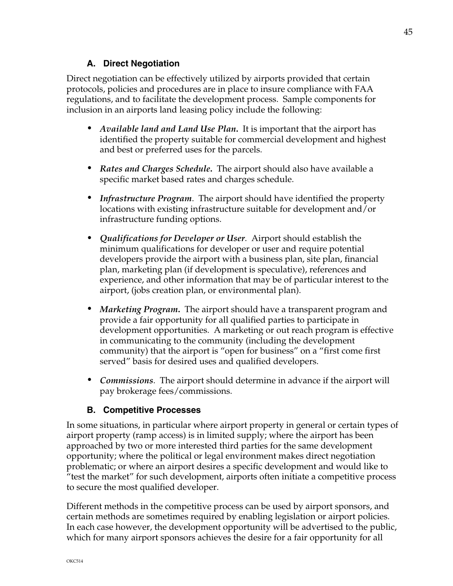#### **A. Direct Negotiation**

Direct negotiation can be effectively utilized by airports provided that certain protocols, policies and procedures are in place to insure compliance with FAA regulations, and to facilitate the development process. Sample components for inclusion in an airports land leasing policy include the following:

- *• Available land and Land Use Plan***.** It is important that the airport has identified the property suitable for commercial development and highest and best or preferred uses for the parcels.
- *• Rates and Charges Schedule***.** The airport should also have available a specific market based rates and charges schedule.
- *• Infrastructure Program*. The airport should have identified the property locations with existing infrastructure suitable for development and/or infrastructure funding options.
- *• Qualifications for Developer or User*. Airport should establish the minimum qualifications for developer or user and require potential developers provide the airport with a business plan, site plan, financial plan, marketing plan (if development is speculative), references and experience, and other information that may be of particular interest to the airport, (jobs creation plan, or environmental plan).
- *• Marketing Program***.** The airport should have a transparent program and provide a fair opportunity for all qualified parties to participate in development opportunities. A marketing or out reach program is effective in communicating to the community (including the development community) that the airport is "open for business" on a "first come first served" basis for desired uses and qualified developers.
- *• Commissions*. The airport should determine in advance if the airport will pay brokerage fees/commissions.

#### **B. Competitive Processes**

In some situations, in particular where airport property in general or certain types of airport property (ramp access) is in limited supply; where the airport has been approached by two or more interested third parties for the same development opportunity; where the political or legal environment makes direct negotiation problematic; or where an airport desires a specific development and would like to "test the market" for such development, airports often initiate a competitive process to secure the most qualified developer.

Different methods in the competitive process can be used by airport sponsors, and certain methods are sometimes required by enabling legislation or airport policies. In each case however, the development opportunity will be advertised to the public, which for many airport sponsors achieves the desire for a fair opportunity for all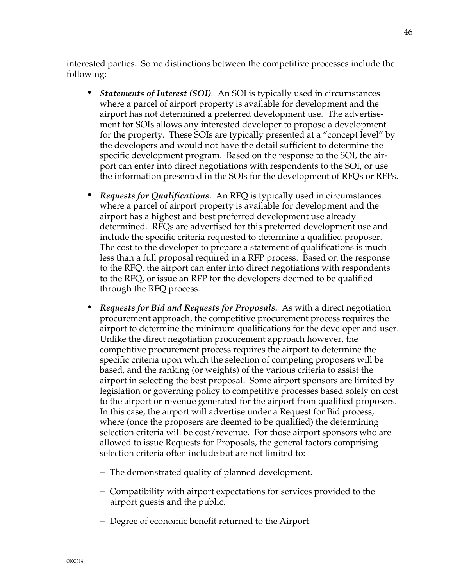interested parties. Some distinctions between the competitive processes include the following:

- *• Statements of Interest (SOI).* An SOI is typically used in circumstances where a parcel of airport property is available for development and the airport has not determined a preferred development use. The advertisement for SOIs allows any interested developer to propose a development for the property. These SOIs are typically presented at a "concept level" by the developers and would not have the detail sufficient to determine the specific development program. Based on the response to the SOI, the airport can enter into direct negotiations with respondents to the SOI, or use the information presented in the SOIs for the development of RFQs or RFPs.
- *• Requests for Qualifications.* An RFQ is typically used in circumstances where a parcel of airport property is available for development and the airport has a highest and best preferred development use already determined. RFQs are advertised for this preferred development use and include the specific criteria requested to determine a qualified proposer. The cost to the developer to prepare a statement of qualifications is much less than a full proposal required in a RFP process. Based on the response to the RFQ, the airport can enter into direct negotiations with respondents to the RFQ, or issue an RFP for the developers deemed to be qualified through the RFQ process.
- *• Requests for Bid and Requests for Proposals.* As with a direct negotiation procurement approach, the competitive procurement process requires the airport to determine the minimum qualifications for the developer and user. Unlike the direct negotiation procurement approach however, the competitive procurement process requires the airport to determine the specific criteria upon which the selection of competing proposers will be based, and the ranking (or weights) of the various criteria to assist the airport in selecting the best proposal. Some airport sponsors are limited by legislation or governing policy to competitive processes based solely on cost to the airport or revenue generated for the airport from qualified proposers. In this case, the airport will advertise under a Request for Bid process, where (once the proposers are deemed to be qualified) the determining selection criteria will be cost/revenue. For those airport sponsors who are allowed to issue Requests for Proposals, the general factors comprising selection criteria often include but are not limited to:
	- The demonstrated quality of planned development.
	- Compatibility with airport expectations for services provided to the airport guests and the public.
	- Degree of economic benefit returned to the Airport.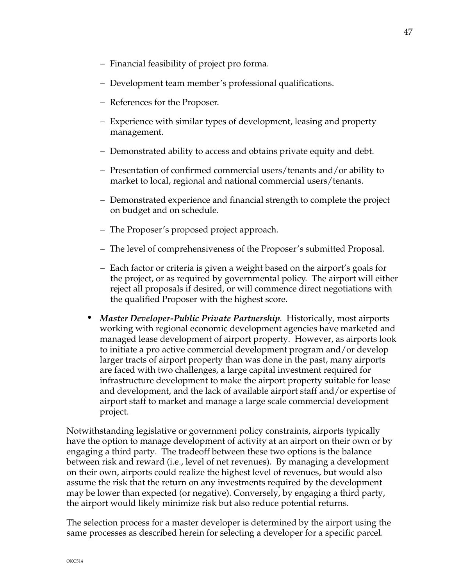47

- Financial feasibility of project pro forma.
- Development team member's professional qualifications.
- References for the Proposer.
- Experience with similar types of development, leasing and property management.
- Demonstrated ability to access and obtains private equity and debt.
- Presentation of confirmed commercial users/tenants and/or ability to market to local, regional and national commercial users/tenants.
- Demonstrated experience and financial strength to complete the project on budget and on schedule.
- The Proposer's proposed project approach.
- The level of comprehensiveness of the Proposer's submitted Proposal.
- Each factor or criteria is given a weight based on the airport's goals for the project, or as required by governmental policy. The airport will either reject all proposals if desired, or will commence direct negotiations with the qualified Proposer with the highest score.
- *• Master Developer-Public Private Partnership.* Historically, most airports working with regional economic development agencies have marketed and managed lease development of airport property. However, as airports look to initiate a pro active commercial development program and/or develop larger tracts of airport property than was done in the past, many airports are faced with two challenges, a large capital investment required for infrastructure development to make the airport property suitable for lease and development, and the lack of available airport staff and/or expertise of airport staff to market and manage a large scale commercial development project.

Notwithstanding legislative or government policy constraints, airports typically have the option to manage development of activity at an airport on their own or by engaging a third party. The tradeoff between these two options is the balance between risk and reward (i.e., level of net revenues). By managing a development on their own, airports could realize the highest level of revenues, but would also assume the risk that the return on any investments required by the development may be lower than expected (or negative). Conversely, by engaging a third party, the airport would likely minimize risk but also reduce potential returns.

The selection process for a master developer is determined by the airport using the same processes as described herein for selecting a developer for a specific parcel.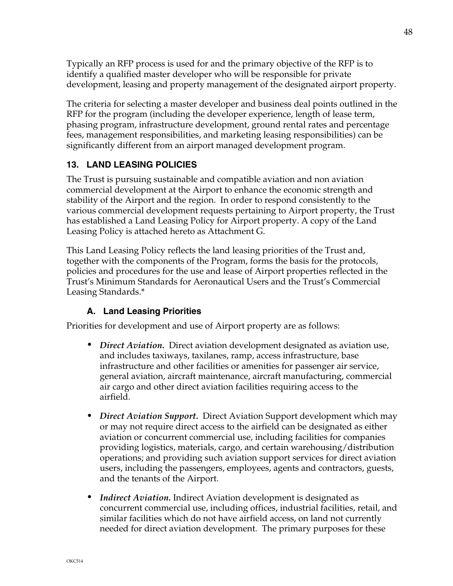Typically an RFP process is used for and the primary objective of the RFP is to identify a qualified master developer who will be responsible for private development, leasing and property management of the designated airport property.

The criteria for selecting a master developer and business deal points outlined in the RFP for the program (including the developer experience, length of lease term, phasing program, infrastructure development, ground rental rates and percentage fees, management responsibilities, and marketing leasing responsibilities) can be significantly different from an airport managed development program.

## **13. LAND LEASING POLICIES**

The Trust is pursuing sustainable and compatible aviation and non aviation commercial development at the Airport to enhance the economic strength and stability of the Airport and the region. In order to respond consistently to the various commercial development requests pertaining to Airport property, the Trust has established a Land Leasing Policy for Airport property. A copy of the Land Leasing Policy is attached hereto as Attachment G.

This Land Leasing Policy reflects the land leasing priorities of the Trust and, together with the components of the Program, forms the basis for the protocols, policies and procedures for the use and lease of Airport properties reflected in the Trust's Minimum Standards for Aeronautical Users and the Trust's Commercial Leasing Standards.\*

# **A. Land Leasing Priorities**

Priorities for development and use of Airport property are as follows:

- *• Direct Aviation.* Direct aviation development designated as aviation use, and includes taxiways, taxilanes, ramp, access infrastructure, base infrastructure and other facilities or amenities for passenger air service, general aviation, aircraft maintenance, aircraft manufacturing, commercial air cargo and other direct aviation facilities requiring access to the airfield.
- *• Direct Aviation Support.* Direct Aviation Support development which may or may not require direct access to the airfield can be designated as either aviation or concurrent commercial use, including facilities for companies providing logistics, materials, cargo, and certain warehousing/distribution operations; and providing such aviation support services for direct aviation users, including the passengers, employees, agents and contractors, guests, and the tenants of the Airport.
- *• Indirect Aviation.* Indirect Aviation development is designated as concurrent commercial use, including offices, industrial facilities, retail, and similar facilities which do not have airfield access, on land not currently needed for direct aviation development. The primary purposes for these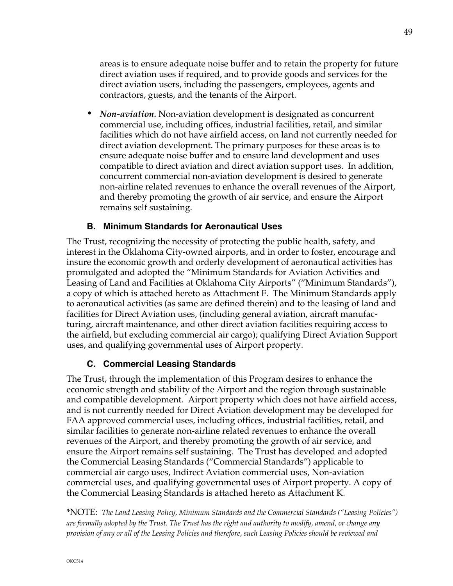areas is to ensure adequate noise buffer and to retain the property for future direct aviation uses if required, and to provide goods and services for the direct aviation users, including the passengers, employees, agents and contractors, guests, and the tenants of the Airport.

*• Non-aviation.* Non-aviation development is designated as concurrent commercial use, including offices, industrial facilities, retail, and similar facilities which do not have airfield access, on land not currently needed for direct aviation development. The primary purposes for these areas is to ensure adequate noise buffer and to ensure land development and uses compatible to direct aviation and direct aviation support uses. In addition, concurrent commercial non-aviation development is desired to generate non-airline related revenues to enhance the overall revenues of the Airport, and thereby promoting the growth of air service, and ensure the Airport remains self sustaining.

#### **B. Minimum Standards for Aeronautical Uses**

The Trust, recognizing the necessity of protecting the public health, safety, and interest in the Oklahoma City-owned airports, and in order to foster, encourage and insure the economic growth and orderly development of aeronautical activities has promulgated and adopted the "Minimum Standards for Aviation Activities and Leasing of Land and Facilities at Oklahoma City Airports" ("Minimum Standards"), a copy of which is attached hereto as Attachment F. The Minimum Standards apply to aeronautical activities (as same are defined therein) and to the leasing of land and facilities for Direct Aviation uses, (including general aviation, aircraft manufacturing, aircraft maintenance, and other direct aviation facilities requiring access to the airfield, but excluding commercial air cargo); qualifying Direct Aviation Support uses, and qualifying governmental uses of Airport property.

#### **C. Commercial Leasing Standards**

The Trust, through the implementation of this Program desires to enhance the economic strength and stability of the Airport and the region through sustainable and compatible development. Airport property which does not have airfield access, and is not currently needed for Direct Aviation development may be developed for FAA approved commercial uses, including offices, industrial facilities, retail, and similar facilities to generate non-airline related revenues to enhance the overall revenues of the Airport, and thereby promoting the growth of air service, and ensure the Airport remains self sustaining. The Trust has developed and adopted the Commercial Leasing Standards ("Commercial Standards") applicable to commercial air cargo uses, Indirect Aviation commercial uses, Non-aviation commercial uses, and qualifying governmental uses of Airport property. A copy of the Commercial Leasing Standards is attached hereto as Attachment K.

\*NOTE: *The Land Leasing Policy, Minimum Standards and the Commercial Standards ("Leasing Policies") are formally adopted by the Trust. The Trust has the right and authority to modify, amend, or change any provision of any or all of the Leasing Policies and therefore, such Leasing Policies should be reviewed and*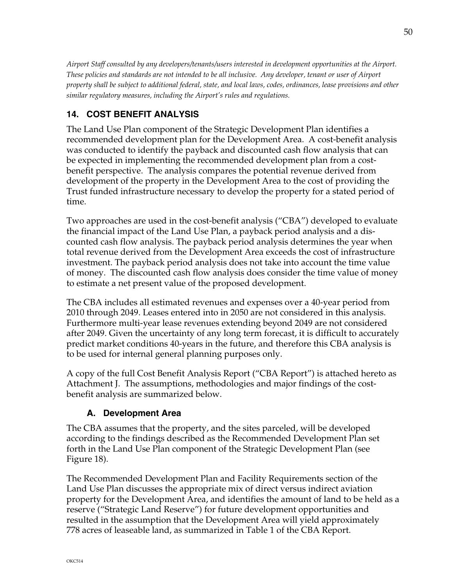*Airport Staff consulted by any developers/tenants/users interested in development opportunities at the Airport. These policies and standards are not intended to be all inclusive. Any developer, tenant or user of Airport property shall be subject to additional federal, state, and local laws, codes, ordinances, lease provisions and other similar regulatory measures, including the Airport's rules and regulations.*

# **14. COST BENEFIT ANALYSIS**

The Land Use Plan component of the Strategic Development Plan identifies a recommended development plan for the Development Area. A cost-benefit analysis was conducted to identify the payback and discounted cash flow analysis that can be expected in implementing the recommended development plan from a costbenefit perspective. The analysis compares the potential revenue derived from development of the property in the Development Area to the cost of providing the Trust funded infrastructure necessary to develop the property for a stated period of time.

Two approaches are used in the cost-benefit analysis ("CBA") developed to evaluate the financial impact of the Land Use Plan, a payback period analysis and a discounted cash flow analysis. The payback period analysis determines the year when total revenue derived from the Development Area exceeds the cost of infrastructure investment. The payback period analysis does not take into account the time value of money. The discounted cash flow analysis does consider the time value of money to estimate a net present value of the proposed development.

The CBA includes all estimated revenues and expenses over a 40-year period from 2010 through 2049. Leases entered into in 2050 are not considered in this analysis. Furthermore multi-year lease revenues extending beyond 2049 are not considered after 2049. Given the uncertainty of any long term forecast, it is difficult to accurately predict market conditions 40-years in the future, and therefore this CBA analysis is to be used for internal general planning purposes only.

A copy of the full Cost Benefit Analysis Report ("CBA Report") is attached hereto as Attachment J. The assumptions, methodologies and major findings of the costbenefit analysis are summarized below.

# **A. Development Area**

The CBA assumes that the property, and the sites parceled, will be developed according to the findings described as the Recommended Development Plan set forth in the Land Use Plan component of the Strategic Development Plan (see Figure 18).

The Recommended Development Plan and Facility Requirements section of the Land Use Plan discusses the appropriate mix of direct versus indirect aviation property for the Development Area, and identifies the amount of land to be held as a reserve ("Strategic Land Reserve") for future development opportunities and resulted in the assumption that the Development Area will yield approximately 778 acres of leaseable land, as summarized in Table 1 of the CBA Report.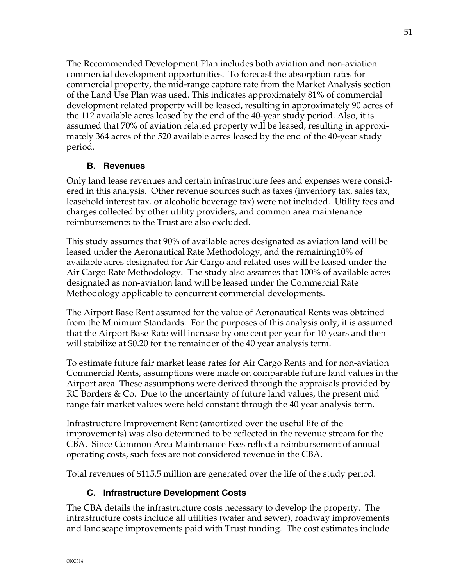The Recommended Development Plan includes both aviation and non-aviation commercial development opportunities. To forecast the absorption rates for commercial property, the mid-range capture rate from the Market Analysis section of the Land Use Plan was used. This indicates approximately 81% of commercial development related property will be leased, resulting in approximately 90 acres of the 112 available acres leased by the end of the 40-year study period. Also, it is assumed that 70% of aviation related property will be leased, resulting in approximately 364 acres of the 520 available acres leased by the end of the 40-year study period.

## **B. Revenues**

Only land lease revenues and certain infrastructure fees and expenses were considered in this analysis. Other revenue sources such as taxes (inventory tax, sales tax, leasehold interest tax. or alcoholic beverage tax) were not included. Utility fees and charges collected by other utility providers, and common area maintenance reimbursements to the Trust are also excluded.

This study assumes that 90% of available acres designated as aviation land will be leased under the Aeronautical Rate Methodology, and the remaining10% of available acres designated for Air Cargo and related uses will be leased under the Air Cargo Rate Methodology. The study also assumes that 100% of available acres designated as non-aviation land will be leased under the Commercial Rate Methodology applicable to concurrent commercial developments.

The Airport Base Rent assumed for the value of Aeronautical Rents was obtained from the Minimum Standards. For the purposes of this analysis only, it is assumed that the Airport Base Rate will increase by one cent per year for 10 years and then will stabilize at \$0.20 for the remainder of the 40 year analysis term.

To estimate future fair market lease rates for Air Cargo Rents and for non-aviation Commercial Rents, assumptions were made on comparable future land values in the Airport area. These assumptions were derived through the appraisals provided by RC Borders & Co. Due to the uncertainty of future land values, the present mid range fair market values were held constant through the 40 year analysis term.

Infrastructure Improvement Rent (amortized over the useful life of the improvements) was also determined to be reflected in the revenue stream for the CBA. Since Common Area Maintenance Fees reflect a reimbursement of annual operating costs, such fees are not considered revenue in the CBA.

Total revenues of \$115.5 million are generated over the life of the study period.

# **C. Infrastructure Development Costs**

The CBA details the infrastructure costs necessary to develop the property. The infrastructure costs include all utilities (water and sewer), roadway improvements and landscape improvements paid with Trust funding. The cost estimates include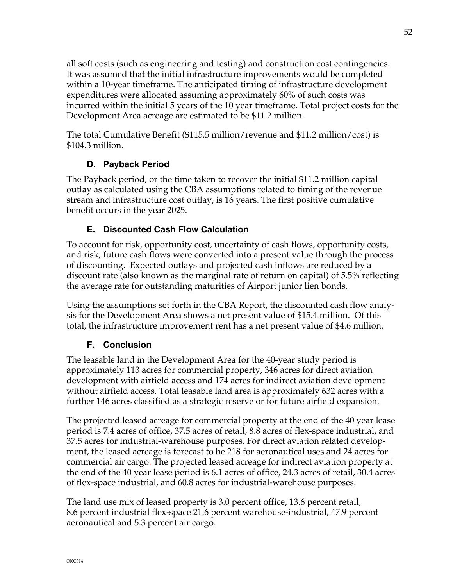all soft costs (such as engineering and testing) and construction cost contingencies. It was assumed that the initial infrastructure improvements would be completed within a 10-year timeframe. The anticipated timing of infrastructure development expenditures were allocated assuming approximately 60% of such costs was incurred within the initial 5 years of the 10 year timeframe. Total project costs for the Development Area acreage are estimated to be \$11.2 million.

The total Cumulative Benefit (\$115.5 million/revenue and \$11.2 million/cost) is \$104.3 million.

# **D. Payback Period**

The Payback period, or the time taken to recover the initial \$11.2 million capital outlay as calculated using the CBA assumptions related to timing of the revenue stream and infrastructure cost outlay, is 16 years. The first positive cumulative benefit occurs in the year 2025.

# **E. Discounted Cash Flow Calculation**

To account for risk, opportunity cost, uncertainty of cash flows, opportunity costs, and risk, future cash flows were converted into a present value through the process of discounting. Expected outlays and projected cash inflows are reduced by a discount rate (also known as the marginal rate of return on capital) of 5.5% reflecting the average rate for outstanding maturities of Airport junior lien bonds.

Using the assumptions set forth in the CBA Report, the discounted cash flow analysis for the Development Area shows a net present value of \$15.4 million. Of this total, the infrastructure improvement rent has a net present value of \$4.6 million.

# **F. Conclusion**

The leasable land in the Development Area for the 40-year study period is approximately 113 acres for commercial property, 346 acres for direct aviation development with airfield access and 174 acres for indirect aviation development without airfield access. Total leasable land area is approximately 632 acres with a further 146 acres classified as a strategic reserve or for future airfield expansion.

The projected leased acreage for commercial property at the end of the 40 year lease period is 7.4 acres of office, 37.5 acres of retail, 8.8 acres of flex-space industrial, and 37.5 acres for industrial-warehouse purposes. For direct aviation related development, the leased acreage is forecast to be 218 for aeronautical uses and 24 acres for commercial air cargo. The projected leased acreage for indirect aviation property at the end of the 40 year lease period is 6.1 acres of office, 24.3 acres of retail, 30.4 acres of flex-space industrial, and 60.8 acres for industrial-warehouse purposes.

The land use mix of leased property is 3.0 percent office, 13.6 percent retail, 8.6 percent industrial flex-space 21.6 percent warehouse-industrial, 47.9 percent aeronautical and 5.3 percent air cargo.